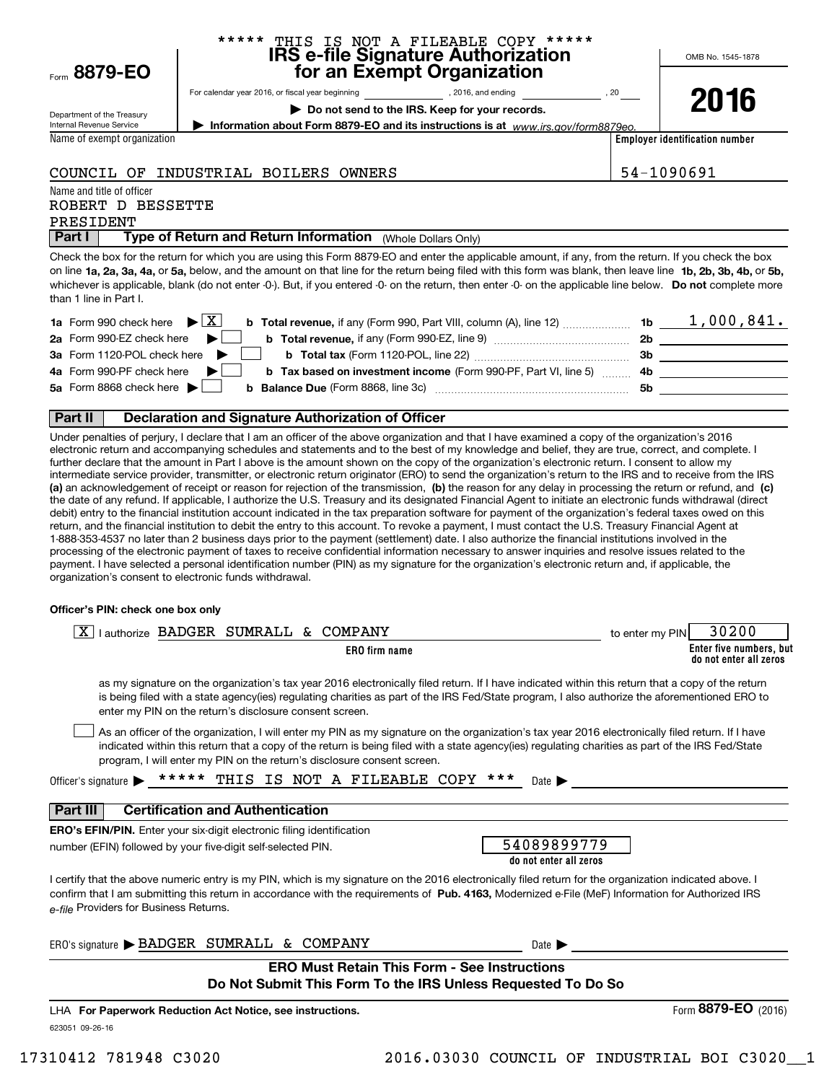|                                                                        | ***** THIS IS NOT A FILEABLE COPY *****<br><b>IRS e-file Signature Authorization</b>                                                                                                                                                                                                                                                                                                                                                                                                  | OMB No. 1545-1878                     |
|------------------------------------------------------------------------|---------------------------------------------------------------------------------------------------------------------------------------------------------------------------------------------------------------------------------------------------------------------------------------------------------------------------------------------------------------------------------------------------------------------------------------------------------------------------------------|---------------------------------------|
| Form 8879-EO                                                           | for an Exempt Organization                                                                                                                                                                                                                                                                                                                                                                                                                                                            |                                       |
|                                                                        |                                                                                                                                                                                                                                                                                                                                                                                                                                                                                       |                                       |
| Department of the Treasury                                             | Do not send to the IRS. Keep for your records.                                                                                                                                                                                                                                                                                                                                                                                                                                        | 2016                                  |
| Internal Revenue Service                                               | Information about Form 8879-EO and its instructions is at www.irs.gov/form8879eo.                                                                                                                                                                                                                                                                                                                                                                                                     |                                       |
| Name of exempt organization                                            |                                                                                                                                                                                                                                                                                                                                                                                                                                                                                       | <b>Employer identification number</b> |
|                                                                        | COUNCIL OF INDUSTRIAL BOILERS OWNERS                                                                                                                                                                                                                                                                                                                                                                                                                                                  | 54-1090691                            |
| Name and title of officer                                              |                                                                                                                                                                                                                                                                                                                                                                                                                                                                                       |                                       |
| ROBERT D BESSETTE                                                      |                                                                                                                                                                                                                                                                                                                                                                                                                                                                                       |                                       |
| PRESIDENT                                                              |                                                                                                                                                                                                                                                                                                                                                                                                                                                                                       |                                       |
| Part I                                                                 | Type of Return and Return Information (Whole Dollars Only)                                                                                                                                                                                                                                                                                                                                                                                                                            |                                       |
| than 1 line in Part I.                                                 | Check the box for the return for which you are using this Form 8879-EO and enter the applicable amount, if any, from the return. If you check the box<br>on line 1a, 2a, 3a, 4a, or 5a, below, and the amount on that line for the return being filed with this form was blank, then leave line 1b, 2b, 3b, 4b, or 5b,<br>whichever is applicable, blank (do not enter -0-). But, if you entered -0- on the return, then enter -0- on the applicable line below. Do not complete more |                                       |
| <b>1a</b> Form 990 check here $\blacktriangleright$ $\boxed{\text{X}}$ | <b>b</b> Total revenue, if any (Form 990, Part VIII, column (A), line 12)  1b $\underline{\hspace{1cm} 1,000,841.}}$                                                                                                                                                                                                                                                                                                                                                                  |                                       |
| 2a Form 990-EZ check here                                              |                                                                                                                                                                                                                                                                                                                                                                                                                                                                                       |                                       |
| 3a Form 1120-POL check here                                            |                                                                                                                                                                                                                                                                                                                                                                                                                                                                                       |                                       |
| 4a Form 990-PF check here                                              | b Tax based on investment income (Form 990-PF, Part VI, line 5)                                                                                                                                                                                                                                                                                                                                                                                                                       |                                       |
| 5a Form 8868 check here $\blacktriangleright$                          | b.                                                                                                                                                                                                                                                                                                                                                                                                                                                                                    |                                       |
| Part II                                                                | <b>Declaration and Signature Authorization of Officer</b>                                                                                                                                                                                                                                                                                                                                                                                                                             |                                       |
|                                                                        | Under penalties of perjury, I declare that I am an officer of the above organization and that I have examined a copy of the organization's 2016<br>electronic return and accompanying schedules and statements and to the best of my knowledge and belief, they are true, correct, and complete. I                                                                                                                                                                                    |                                       |

**(a)** an acknowledgement of receipt or reason for rejection of the transmission, (b) the reason for any delay in processing the return or refund, and (c) further declare that the amount in Part I above is the amount shown on the copy of the organization's electronic return. I consent to allow my intermediate service provider, transmitter, or electronic return originator (ERO) to send the organization's return to the IRS and to receive from the IRS the date of any refund. If applicable, I authorize the U.S. Treasury and its designated Financial Agent to initiate an electronic funds withdrawal (direct debit) entry to the financial institution account indicated in the tax preparation software for payment of the organization's federal taxes owed on this return, and the financial institution to debit the entry to this account. To revoke a payment, I must contact the U.S. Treasury Financial Agent at 1-888-353-4537 no later than 2 business days prior to the payment (settlement) date. I also authorize the financial institutions involved in the processing of the electronic payment of taxes to receive confidential information necessary to answer inquiries and resolve issues related to the payment. I have selected a personal identification number (PIN) as my signature for the organization's electronic return and, if applicable, the organization's consent to electronic funds withdrawal.

## **Officer's PIN: check one box only**

| I authorize BADGER SUMRALL & COMPANY<br>X                                                                                                                                                                                                                                                                                                                                        | to enter my PIN | 30200                                             |
|----------------------------------------------------------------------------------------------------------------------------------------------------------------------------------------------------------------------------------------------------------------------------------------------------------------------------------------------------------------------------------|-----------------|---------------------------------------------------|
| ERO firm name                                                                                                                                                                                                                                                                                                                                                                    |                 | Enter five numbers, but<br>do not enter all zeros |
| as my signature on the organization's tax year 2016 electronically filed return. If I have indicated within this return that a copy of the return<br>is being filed with a state agency(ies) regulating charities as part of the IRS Fed/State program, I also authorize the aforementioned ERO to<br>enter my PIN on the return's disclosure consent screen.                    |                 |                                                   |
| As an officer of the organization, I will enter my PIN as my signature on the organization's tax year 2016 electronically filed return. If I have<br>indicated within this return that a copy of the return is being filed with a state agency(ies) regulating charities as part of the IRS Fed/State<br>program, I will enter my PIN on the return's disclosure consent screen. |                 |                                                   |
| Officer's signature $\triangleright$ ***** THIS IS NOT A FILEABLE COPY<br>Date $\blacktriangleright$                                                                                                                                                                                                                                                                             |                 |                                                   |
| <b>Certification and Authentication</b><br>Part III                                                                                                                                                                                                                                                                                                                              |                 |                                                   |
| <b>ERO's EFIN/PIN.</b> Enter your six-digit electronic filing identification<br>54089899779<br>number (EFIN) followed by your five-digit self-selected PIN.<br>do not enter all zeros                                                                                                                                                                                            |                 |                                                   |
| I certify that the above numeric entry is my PIN, which is my signature on the 2016 electronically filed return for the organization indicated above. I<br>confirm that I am submitting this return in accordance with the requirements of Pub. 4163, Modernized e-File (MeF) Information for Authorized IRS<br>e-file Providers for Business Returns.                           |                 |                                                   |
| ERO's signature BADGER SUMRALL & COMPANY<br>Date $\blacktriangleright$                                                                                                                                                                                                                                                                                                           |                 |                                                   |
| <b>ERO Must Retain This Form - See Instructions</b><br>Do Not Submit This Form To the IRS Unless Requested To Do So                                                                                                                                                                                                                                                              |                 |                                                   |
| LHA For Paperwork Reduction Act Notice, see instructions.                                                                                                                                                                                                                                                                                                                        |                 | Form 8879-EO (2016)                               |

623051 09-26-16 LHA For Paperwork Reduction Act Notice, see instructions.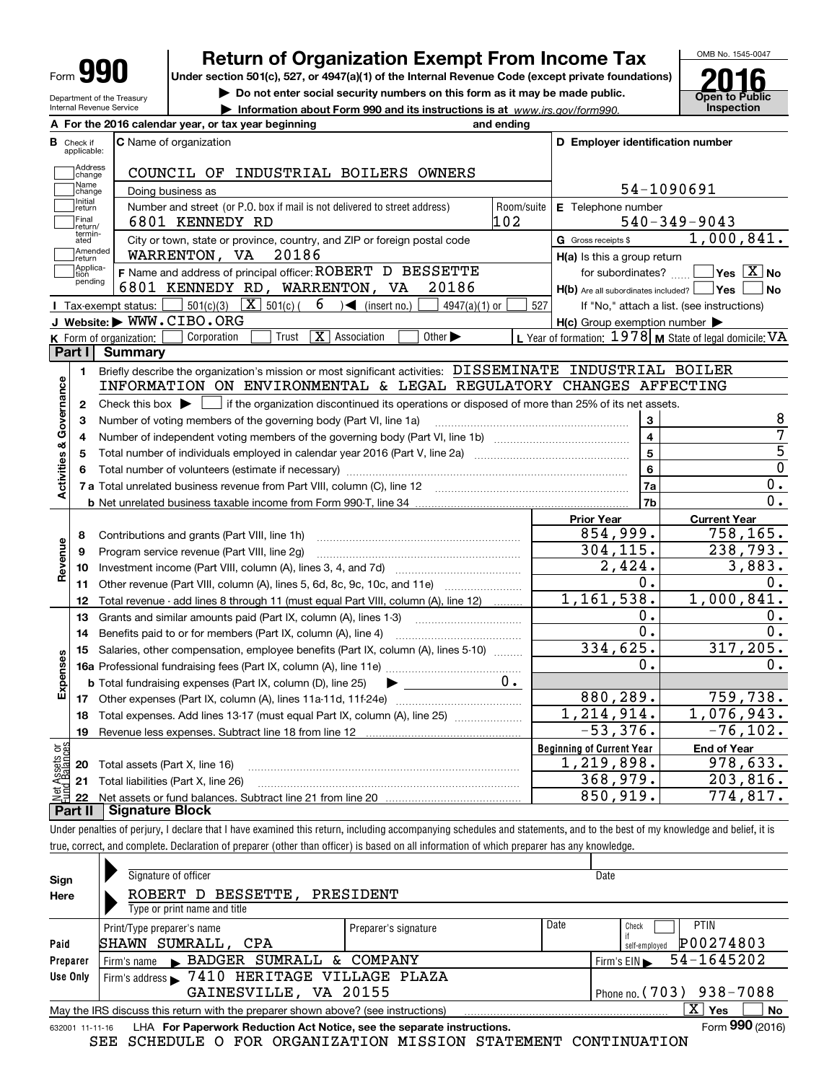| Form | ш |
|------|---|
|------|---|

Department of the Treasury Internal Revenue Service

# **Return of Organization Exempt From Income Tax**

**Under section 501(c), 527, or 4947(a)(1) of the Internal Revenue Code (except private foundations)**

**| Do not enter social security numbers on this form as it may be made public.**

**| Information about Form 990 and its instructions is at www.irs.gov/form990.** | Inspection



|                         |                             | A For the 2016 calendar year, or tax year beginning                                                                                                 | and ending |                                                     |                                                           |
|-------------------------|-----------------------------|-----------------------------------------------------------------------------------------------------------------------------------------------------|------------|-----------------------------------------------------|-----------------------------------------------------------|
| в                       | Check if<br>applicable:     | <b>C</b> Name of organization                                                                                                                       |            | D Employer identification number                    |                                                           |
|                         | Address<br> change          | COUNCIL OF INDUSTRIAL BOILERS OWNERS                                                                                                                |            |                                                     |                                                           |
|                         | Name<br>change              | Doing business as                                                                                                                                   |            |                                                     | 54-1090691                                                |
|                         | Initial<br>return           | Number and street (or P.O. box if mail is not delivered to street address)                                                                          | Room/suite | E Telephone number                                  |                                                           |
|                         | Final<br>return/            | 6801 KENNEDY RD                                                                                                                                     | 102        |                                                     | $540 - 349 - 9043$                                        |
|                         | termin-<br>ated             | City or town, state or province, country, and ZIP or foreign postal code                                                                            |            | G Gross receipts \$                                 | 1,000,841.                                                |
|                         | Amended<br>return           | WARRENTON, VA 20186                                                                                                                                 |            | $H(a)$ is this a group return                       |                                                           |
|                         | Applica-<br>tion<br>pending | F Name and address of principal officer: ROBERT D BESSETTE                                                                                          |            | for subordinates? []                                | $\sqrt{}$ Yes $\boxed{\text{X}}$ No                       |
|                         |                             | 6801 KENNEDY RD, WARRENTON, VA<br>20186                                                                                                             |            | $H(b)$ Are all subordinates included? $\Box$ Yes    | No                                                        |
|                         |                             | 501(c)(3) $\boxed{\mathbf{X}}$ 501(c)(<br>6<br>◀<br>(insert no.)<br>$\blacksquare$ Tax-exempt status:<br>$4947(a)(1)$ or                            | 527        |                                                     | If "No," attach a list. (see instructions)                |
|                         |                             | J Website: WWW.CIBO.ORG                                                                                                                             |            | $H(c)$ Group exemption number $\blacktriangleright$ |                                                           |
|                         |                             | $\overline{X}$ Association<br>Other $\blacktriangleright$<br>Corporation<br>Trust<br>K Form of organization:                                        |            |                                                     | L Year of formation: $1978$ M State of legal domicile: VA |
|                         | Part I                      | <b>Summary</b>                                                                                                                                      |            |                                                     |                                                           |
|                         | 1.                          | Briefly describe the organization's mission or most significant activities: DISSEMINATE INDUSTRIAL BOILER                                           |            |                                                     |                                                           |
|                         |                             | INFORMATION ON ENVIRONMENTAL & LEGAL REGULATORY CHANGES AFFECTING                                                                                   |            |                                                     |                                                           |
| Activities & Governance | $\mathbf{2}$                | Check this box $\blacktriangleright$ $\blacksquare$ if the organization discontinued its operations or disposed of more than 25% of its net assets. |            |                                                     |                                                           |
|                         | 3                           | Number of voting members of the governing body (Part VI, line 1a)                                                                                   |            | 3                                                   | 8<br>7                                                    |
|                         | 4                           |                                                                                                                                                     |            | $\overline{4}$<br>$\overline{5}$                    | $\overline{5}$                                            |
|                         | 5                           |                                                                                                                                                     |            | $\overline{0}$                                      |                                                           |
|                         | 6                           |                                                                                                                                                     |            | 6                                                   | 0.                                                        |
|                         |                             |                                                                                                                                                     |            | 7a<br>7 <sub>b</sub>                                | $\overline{0}$ .                                          |
|                         |                             |                                                                                                                                                     |            |                                                     |                                                           |
|                         | 8                           | Contributions and grants (Part VIII, line 1h)                                                                                                       |            | <b>Prior Year</b><br>854,999.                       | <b>Current Year</b><br>758, 165.                          |
|                         | 9                           | Program service revenue (Part VIII, line 2g)                                                                                                        |            | 304, 115.                                           | 238, 793.                                                 |
| Revenue                 | 10                          |                                                                                                                                                     |            | 2,424.                                              | 3,883.                                                    |
|                         | 11                          | Other revenue (Part VIII, column (A), lines 5, 6d, 8c, 9c, 10c, and 11e)                                                                            |            | 0.                                                  | 0.                                                        |
|                         | 12                          | Total revenue - add lines 8 through 11 (must equal Part VIII, column (A), line 12)                                                                  |            | 1, 161, 538.                                        | 1,000,841.                                                |
|                         | 13                          | Grants and similar amounts paid (Part IX, column (A), lines 1-3)                                                                                    |            | $0$ .                                               | 0.                                                        |
|                         | 14                          | Benefits paid to or for members (Part IX, column (A), line 4)                                                                                       |            | $\overline{0}$ .                                    | $\overline{0}$ .                                          |
|                         | 15                          | Salaries, other compensation, employee benefits (Part IX, column (A), lines 5-10)                                                                   |            | 334,625.                                            | 317, 205.                                                 |
|                         |                             |                                                                                                                                                     |            | 0.                                                  | 0.                                                        |
| Expenses                |                             | <b>b</b> Total fundraising expenses (Part IX, column (D), line 25)<br>$\blacktriangleright$                                                         | $0 \cdot$  |                                                     |                                                           |
|                         |                             |                                                                                                                                                     |            | 880, 289.                                           | 759,738.                                                  |
|                         | 18                          | Total expenses. Add lines 13-17 (must equal Part IX, column (A), line 25)                                                                           |            | 1, 214, 914.                                        | 1,076,943.                                                |
|                         | 19                          |                                                                                                                                                     |            | $-53,376.$                                          | $-76, 102.$                                               |
| äğ                      |                             |                                                                                                                                                     |            | <b>Beginning of Current Year</b>                    | <b>End of Year</b>                                        |
| <b>SSets</b><br>Rajam   |                             | 20 Total assets (Part X, line 16)                                                                                                                   |            | 1,219,898.                                          | 978,633.                                                  |
|                         |                             | 21 Total liabilities (Part X, line 26)                                                                                                              |            | 368,979.                                            | 203,816.                                                  |
|                         | 22                          |                                                                                                                                                     |            | 850,919.                                            | 774,817.                                                  |
|                         |                             | <b>Part II</b> Signature Block                                                                                                                      |            |                                                     |                                                           |

Under penalties of perjury, I declare that I have examined this return, including accompanying schedules and statements, and to the best of my knowledge and belief, it is true, correct, and complete. Declaration of preparer (other than officer) is based on all information of which preparer has any knowledge.

| Sign            | Signature of officer                                                                                                  |                      |      | Date                                           |  |  |
|-----------------|-----------------------------------------------------------------------------------------------------------------------|----------------------|------|------------------------------------------------|--|--|
| Here            | BESSETTE,<br>ROBERT D                                                                                                 | PRESIDENT            |      |                                                |  |  |
|                 | Type or print name and title                                                                                          |                      |      |                                                |  |  |
|                 | Print/Type preparer's name                                                                                            | Preparer's signature | Date | <b>PTIN</b><br>Check                           |  |  |
| Paid            | SHAWN SUMRALL, CPA                                                                                                    |                      |      | P00274803<br>self-emploved                     |  |  |
| Preparer        | Firm's name BADGER SUMRALL & COMPANY                                                                                  |                      |      | 54-1645202<br>Firm's $EIN \blacktriangleright$ |  |  |
| Use Only        | Firm's address > 7410 HERITAGE VILLAGE PLAZA                                                                          |                      |      |                                                |  |  |
|                 | GAINESVILLE, VA 20155                                                                                                 |                      |      | Phone no. (703) 938-7088                       |  |  |
|                 | $\mathbf{X}$<br>Yes<br><b>No</b><br>May the IRS discuss this return with the preparer shown above? (see instructions) |                      |      |                                                |  |  |
| 632001 11-11-16 | LHA For Paperwork Reduction Act Notice, see the separate instructions.                                                |                      |      | Form 990 (2016)                                |  |  |

SEE SCHEDULE O FOR ORGANIZATION MISSION STATEMENT CONTINUATION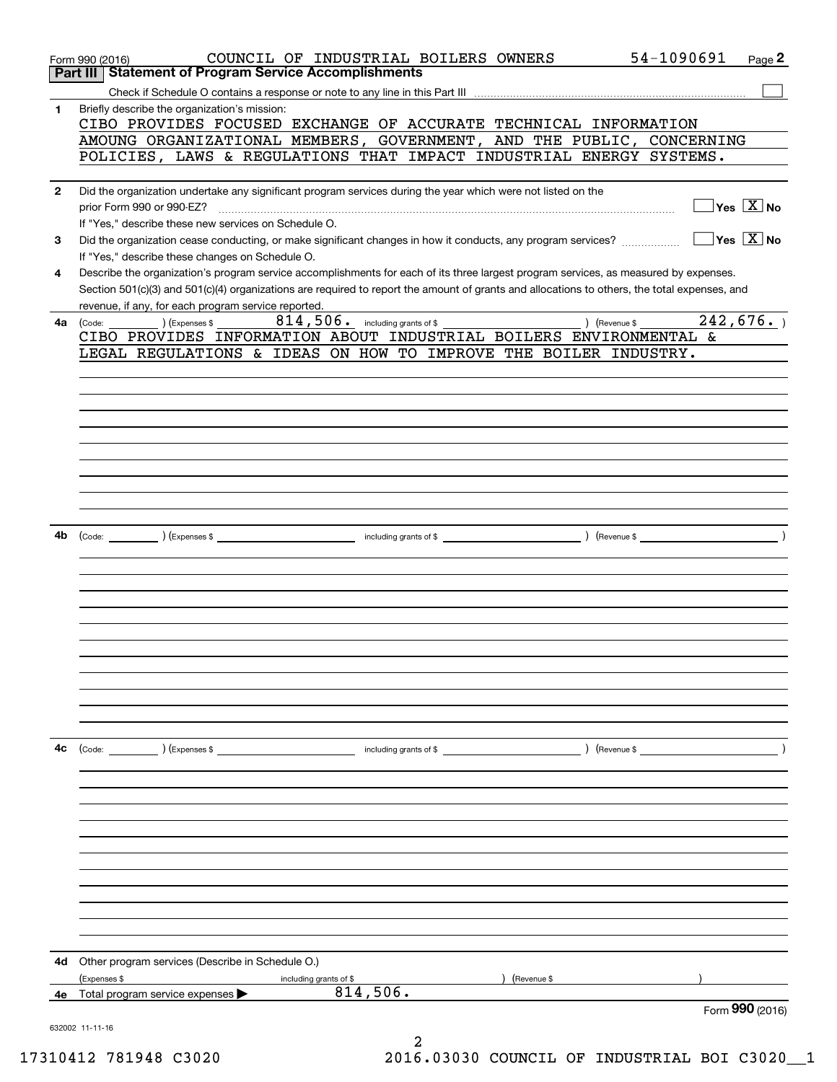|              | 54-1090691<br>COUNCIL OF INDUSTRIAL BOILERS OWNERS<br>Page 2<br>Form 990 (2016)<br><b>Statement of Program Service Accomplishments</b><br>Part III                    |
|--------------|-----------------------------------------------------------------------------------------------------------------------------------------------------------------------|
|              |                                                                                                                                                                       |
|              |                                                                                                                                                                       |
| 1            | Briefly describe the organization's mission:<br>CIBO PROVIDES FOCUSED EXCHANGE OF ACCURATE TECHNICAL INFORMATION                                                      |
|              | GOVERNMENT, AND THE PUBLIC, CONCERNING<br>AMOUNG ORGANIZATIONAL MEMBERS,                                                                                              |
|              | POLICIES, LAWS & REGULATIONS THAT IMPACT INDUSTRIAL ENERGY SYSTEMS.                                                                                                   |
|              |                                                                                                                                                                       |
|              |                                                                                                                                                                       |
| $\mathbf{2}$ | Did the organization undertake any significant program services during the year which were not listed on the                                                          |
|              | $\overline{\ }$ Yes $\overline{\rm X}$ No<br>prior Form 990 or 990-EZ?                                                                                                |
|              | If "Yes," describe these new services on Schedule O.                                                                                                                  |
| 3            | $\overline{\mathsf{Y}}$ es $\overline{\mathsf{X}}$ No<br>Did the organization cease conducting, or make significant changes in how it conducts, any program services? |
|              | If "Yes," describe these changes on Schedule O.                                                                                                                       |
| 4            | Describe the organization's program service accomplishments for each of its three largest program services, as measured by expenses.                                  |
|              | Section 501(c)(3) and 501(c)(4) organizations are required to report the amount of grants and allocations to others, the total expenses, and                          |
|              | revenue, if any, for each program service reported.                                                                                                                   |
| 4а           | 242,676.<br>$814, 506$ . including grants of \$<br>) (Revenue \$<br>(Code:<br>(Expenses \$                                                                            |
|              | CIBO PROVIDES INFORMATION ABOUT INDUSTRIAL BOILERS ENVIRONMENTAL &                                                                                                    |
|              | LEGAL REGULATIONS & IDEAS ON HOW TO IMPROVE THE BOILER INDUSTRY.                                                                                                      |
|              |                                                                                                                                                                       |
|              |                                                                                                                                                                       |
|              |                                                                                                                                                                       |
|              |                                                                                                                                                                       |
|              |                                                                                                                                                                       |
|              |                                                                                                                                                                       |
|              |                                                                                                                                                                       |
|              |                                                                                                                                                                       |
|              |                                                                                                                                                                       |
|              |                                                                                                                                                                       |
|              |                                                                                                                                                                       |
| 4b           |                                                                                                                                                                       |
|              |                                                                                                                                                                       |
|              |                                                                                                                                                                       |
|              |                                                                                                                                                                       |
|              |                                                                                                                                                                       |
|              |                                                                                                                                                                       |
|              |                                                                                                                                                                       |
|              |                                                                                                                                                                       |
|              |                                                                                                                                                                       |
|              |                                                                                                                                                                       |
|              |                                                                                                                                                                       |
|              |                                                                                                                                                                       |
|              |                                                                                                                                                                       |
| 4c           | $\left(\text{Code:}\right)$ $\left(\text{Expenses $}\right)$                                                                                                          |
|              |                                                                                                                                                                       |
|              |                                                                                                                                                                       |
|              |                                                                                                                                                                       |
|              |                                                                                                                                                                       |
|              |                                                                                                                                                                       |
|              |                                                                                                                                                                       |
|              |                                                                                                                                                                       |
|              |                                                                                                                                                                       |
|              |                                                                                                                                                                       |
|              |                                                                                                                                                                       |
|              |                                                                                                                                                                       |
|              |                                                                                                                                                                       |
|              |                                                                                                                                                                       |
| 4d.          | Other program services (Describe in Schedule O.)                                                                                                                      |
|              | (Expenses \$<br>(Revenue \$<br>including grants of \$                                                                                                                 |
| 4e           | 814,506.<br>Total program service expenses                                                                                                                            |
|              | Form 990 (2016)                                                                                                                                                       |
|              | 632002 11-11-16                                                                                                                                                       |
|              |                                                                                                                                                                       |

17310412 781948 C3020 2016.03030 COUNCIL OF INDUSTRIAL BOI C3020\_\_1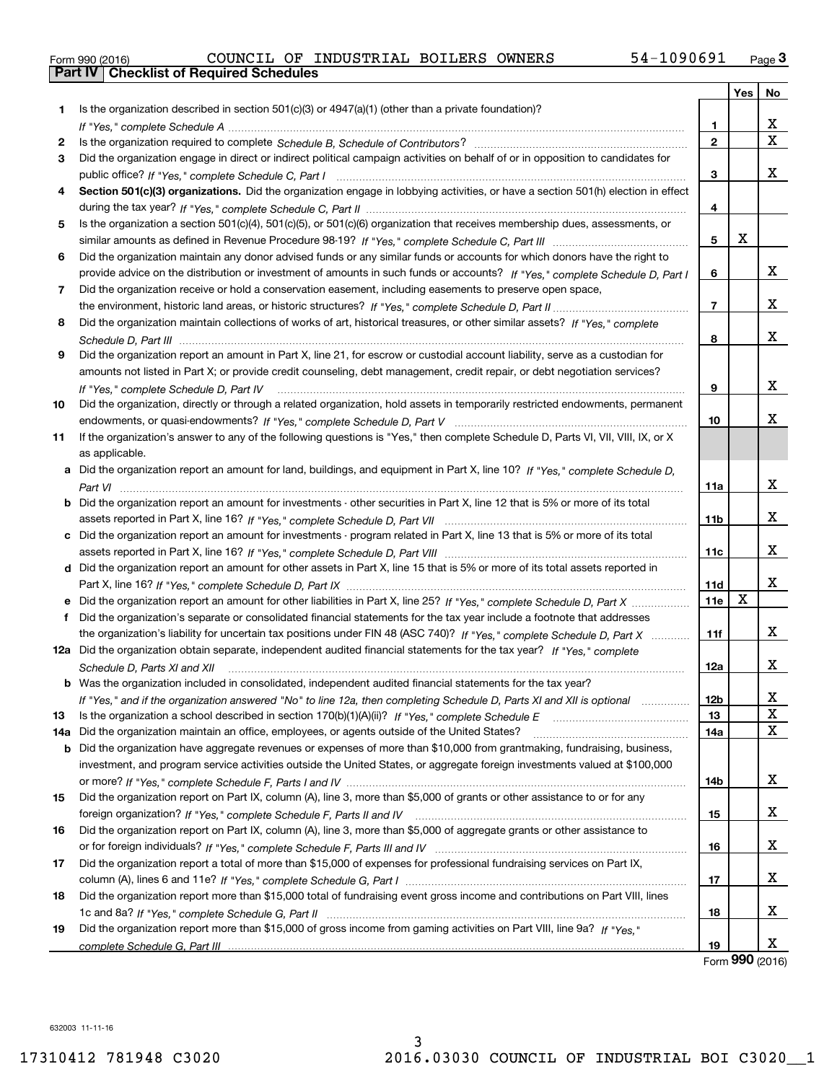| Form 990 (2016) |  |  |
|-----------------|--|--|
|                 |  |  |

|    |                                                                                                                                                                                                                                     |                | Yes | No                      |
|----|-------------------------------------------------------------------------------------------------------------------------------------------------------------------------------------------------------------------------------------|----------------|-----|-------------------------|
| 1  | Is the organization described in section $501(c)(3)$ or $4947(a)(1)$ (other than a private foundation)?                                                                                                                             |                |     |                         |
|    |                                                                                                                                                                                                                                     | 1.             |     | x                       |
| 2  |                                                                                                                                                                                                                                     | $\mathbf{2}$   |     | $\overline{\mathbf{x}}$ |
| 3  | Did the organization engage in direct or indirect political campaign activities on behalf of or in opposition to candidates for                                                                                                     |                |     |                         |
|    |                                                                                                                                                                                                                                     | 3              |     | x                       |
| 4  | Section 501(c)(3) organizations. Did the organization engage in lobbying activities, or have a section 501(h) election in effect                                                                                                    |                |     |                         |
|    |                                                                                                                                                                                                                                     | 4              |     |                         |
| 5  | Is the organization a section 501(c)(4), 501(c)(5), or 501(c)(6) organization that receives membership dues, assessments, or                                                                                                        |                |     |                         |
|    |                                                                                                                                                                                                                                     | 5              | х   |                         |
| 6  | Did the organization maintain any donor advised funds or any similar funds or accounts for which donors have the right to                                                                                                           |                |     |                         |
|    | provide advice on the distribution or investment of amounts in such funds or accounts? If "Yes," complete Schedule D, Part I                                                                                                        | 6              |     | x                       |
| 7  | Did the organization receive or hold a conservation easement, including easements to preserve open space,                                                                                                                           |                |     |                         |
|    |                                                                                                                                                                                                                                     | $\overline{7}$ |     | x                       |
| 8  | Did the organization maintain collections of works of art, historical treasures, or other similar assets? If "Yes," complete                                                                                                        |                |     |                         |
|    |                                                                                                                                                                                                                                     | 8              |     | x                       |
| 9  | Did the organization report an amount in Part X, line 21, for escrow or custodial account liability, serve as a custodian for                                                                                                       |                |     |                         |
|    | amounts not listed in Part X; or provide credit counseling, debt management, credit repair, or debt negotiation services?                                                                                                           |                |     |                         |
|    | If "Yes." complete Schedule D. Part IV                                                                                                                                                                                              | 9              |     | x                       |
| 10 | Did the organization, directly or through a related organization, hold assets in temporarily restricted endowments, permanent                                                                                                       |                |     |                         |
|    |                                                                                                                                                                                                                                     | 10             |     | х                       |
| 11 | If the organization's answer to any of the following questions is "Yes," then complete Schedule D, Parts VI, VIII, VIII, IX, or X                                                                                                   |                |     |                         |
|    | as applicable.                                                                                                                                                                                                                      |                |     |                         |
|    | a Did the organization report an amount for land, buildings, and equipment in Part X, line 10? If "Yes," complete Schedule D,                                                                                                       |                |     |                         |
|    |                                                                                                                                                                                                                                     | 11a            |     | x                       |
|    | <b>b</b> Did the organization report an amount for investments - other securities in Part X, line 12 that is 5% or more of its total                                                                                                |                |     |                         |
|    |                                                                                                                                                                                                                                     | 11b            |     | x                       |
|    | c Did the organization report an amount for investments - program related in Part X, line 13 that is 5% or more of its total                                                                                                        |                |     |                         |
|    |                                                                                                                                                                                                                                     | 11c            |     | x                       |
|    | d Did the organization report an amount for other assets in Part X, line 15 that is 5% or more of its total assets reported in                                                                                                      |                |     |                         |
|    |                                                                                                                                                                                                                                     | 11d            |     | X                       |
|    |                                                                                                                                                                                                                                     | 11e            | х   |                         |
| f  | Did the organization's separate or consolidated financial statements for the tax year include a footnote that addresses                                                                                                             |                |     |                         |
|    | the organization's liability for uncertain tax positions under FIN 48 (ASC 740)? If "Yes," complete Schedule D, Part X                                                                                                              | 11f            |     | x                       |
|    | 12a Did the organization obtain separate, independent audited financial statements for the tax year? If "Yes," complete                                                                                                             |                |     |                         |
|    | Schedule D, Parts XI and XII                                                                                                                                                                                                        | 12a            |     | x                       |
|    | <b>b</b> Was the organization included in consolidated, independent audited financial statements for the tax year?                                                                                                                  |                |     |                         |
|    | If "Yes," and if the organization answered "No" to line 12a, then completing Schedule D, Parts XI and XII is optional                                                                                                               | 12b            |     | x<br>X                  |
| 13 |                                                                                                                                                                                                                                     | 13             |     | $\mathbf X$             |
|    | 14a Did the organization maintain an office, employees, or agents outside of the United States?<br><b>b</b> Did the organization have aggregate revenues or expenses of more than \$10,000 from grantmaking, fundraising, business, | 14a            |     |                         |
|    | investment, and program service activities outside the United States, or aggregate foreign investments valued at \$100,000                                                                                                          |                |     |                         |
|    |                                                                                                                                                                                                                                     | 14b            |     | x                       |
| 15 | Did the organization report on Part IX, column (A), line 3, more than \$5,000 of grants or other assistance to or for any                                                                                                           |                |     |                         |
|    |                                                                                                                                                                                                                                     | 15             |     | х                       |
| 16 | Did the organization report on Part IX, column (A), line 3, more than \$5,000 of aggregate grants or other assistance to                                                                                                            |                |     |                         |
|    |                                                                                                                                                                                                                                     | 16             |     | х                       |
| 17 | Did the organization report a total of more than \$15,000 of expenses for professional fundraising services on Part IX,                                                                                                             |                |     |                         |
|    |                                                                                                                                                                                                                                     | 17             |     | х                       |
| 18 | Did the organization report more than \$15,000 total of fundraising event gross income and contributions on Part VIII, lines                                                                                                        |                |     |                         |
|    |                                                                                                                                                                                                                                     | 18             |     | х                       |
| 19 | Did the organization report more than \$15,000 of gross income from gaming activities on Part VIII, line 9a? If "Yes."                                                                                                              |                |     |                         |
|    |                                                                                                                                                                                                                                     | 19             |     | X                       |

Form (2016) **990**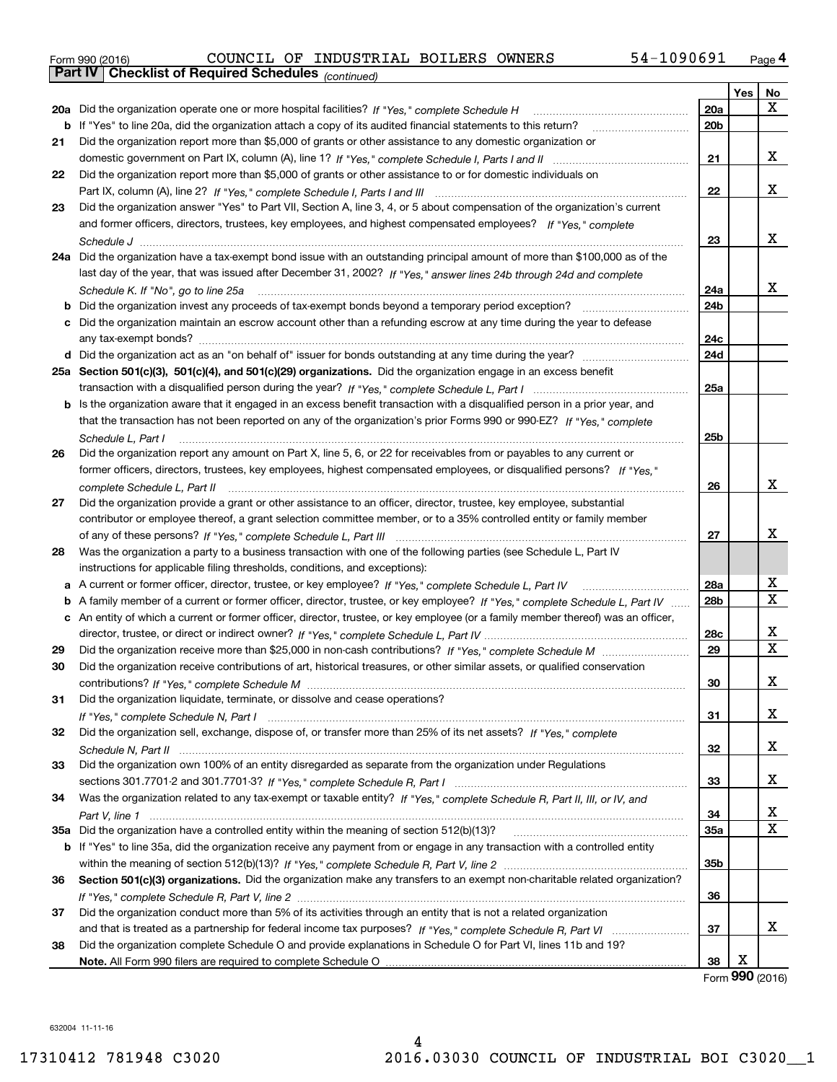| Form 990 (2016) |                                                              |  | COUNCIL OF INDUSTRIAL BOILERS OWNERS |  | 54-1090691 | Page $4$ |
|-----------------|--------------------------------------------------------------|--|--------------------------------------|--|------------|----------|
|                 | <b>Part IV   Checklist of Required Schedules</b> (continued) |  |                                      |  |            |          |

|    | Parl IV  <br>Criecklist of Required Scriedules (continued)                                                                        |                 |     |             |
|----|-----------------------------------------------------------------------------------------------------------------------------------|-----------------|-----|-------------|
|    |                                                                                                                                   |                 | Yes | No          |
|    | 20a Did the organization operate one or more hospital facilities? If "Yes," complete Schedule H                                   | 20a             |     | x           |
|    | <b>b</b> If "Yes" to line 20a, did the organization attach a copy of its audited financial statements to this return?             | 20 <sub>b</sub> |     |             |
| 21 | Did the organization report more than \$5,000 of grants or other assistance to any domestic organization or                       |                 |     |             |
|    |                                                                                                                                   | 21              |     | x           |
| 22 | Did the organization report more than \$5,000 of grants or other assistance to or for domestic individuals on                     |                 |     |             |
|    |                                                                                                                                   | 22              |     | х           |
| 23 | Did the organization answer "Yes" to Part VII, Section A, line 3, 4, or 5 about compensation of the organization's current        |                 |     |             |
|    | and former officers, directors, trustees, key employees, and highest compensated employees? If "Yes," complete                    |                 |     |             |
|    |                                                                                                                                   | 23              |     | х           |
|    | 24a Did the organization have a tax-exempt bond issue with an outstanding principal amount of more than \$100,000 as of the       |                 |     |             |
|    | last day of the year, that was issued after December 31, 2002? If "Yes," answer lines 24b through 24d and complete                |                 |     |             |
|    | Schedule K. If "No", go to line 25a                                                                                               | 24a             |     | х           |
|    | <b>b</b> Did the organization invest any proceeds of tax-exempt bonds beyond a temporary period exception?                        | 24 <sub>b</sub> |     |             |
|    | c Did the organization maintain an escrow account other than a refunding escrow at any time during the year to defease            |                 |     |             |
|    | any tax-exempt bonds?                                                                                                             | 24c             |     |             |
|    | d Did the organization act as an "on behalf of" issuer for bonds outstanding at any time during the year?                         | 24d             |     |             |
|    | 25a Section 501(c)(3), 501(c)(4), and 501(c)(29) organizations. Did the organization engage in an excess benefit                  |                 |     |             |
|    |                                                                                                                                   | 25a             |     |             |
|    | b Is the organization aware that it engaged in an excess benefit transaction with a disqualified person in a prior year, and      |                 |     |             |
|    | that the transaction has not been reported on any of the organization's prior Forms 990 or 990-EZ? If "Yes," complete             |                 |     |             |
|    |                                                                                                                                   | 25b             |     |             |
|    | Schedule L, Part I                                                                                                                |                 |     |             |
| 26 | Did the organization report any amount on Part X, line 5, 6, or 22 for receivables from or payables to any current or             |                 |     |             |
|    | former officers, directors, trustees, key employees, highest compensated employees, or disqualified persons? If "Yes."            |                 |     | x           |
|    |                                                                                                                                   | 26              |     |             |
| 27 | Did the organization provide a grant or other assistance to an officer, director, trustee, key employee, substantial              |                 |     |             |
|    | contributor or employee thereof, a grant selection committee member, or to a 35% controlled entity or family member               |                 |     |             |
|    |                                                                                                                                   | 27              |     | x           |
| 28 | Was the organization a party to a business transaction with one of the following parties (see Schedule L, Part IV                 |                 |     |             |
|    | instructions for applicable filing thresholds, conditions, and exceptions):                                                       |                 |     |             |
|    | a A current or former officer, director, trustee, or key employee? If "Yes," complete Schedule L, Part IV                         | 28a             |     | х           |
|    | b A family member of a current or former officer, director, trustee, or key employee? If "Yes," complete Schedule L, Part IV      | 28 <sub>b</sub> |     | $\mathbf X$ |
|    | c An entity of which a current or former officer, director, trustee, or key employee (or a family member thereof) was an officer, |                 |     |             |
|    |                                                                                                                                   | 28c             |     | х           |
| 29 |                                                                                                                                   | 29              |     | Х           |
| 30 | Did the organization receive contributions of art, historical treasures, or other similar assets, or qualified conservation       |                 |     |             |
|    |                                                                                                                                   | 30              |     | х           |
| 31 | Did the organization liquidate, terminate, or dissolve and cease operations?                                                      |                 |     |             |
|    |                                                                                                                                   | 31              |     | x           |
| 32 | Did the organization sell, exchange, dispose of, or transfer more than 25% of its net assets? If "Yes," complete                  |                 |     |             |
|    |                                                                                                                                   | 32              |     | X           |
| 33 | Did the organization own 100% of an entity disregarded as separate from the organization under Regulations                        |                 |     |             |
|    |                                                                                                                                   | 33              |     | X           |
| 34 | Was the organization related to any tax-exempt or taxable entity? If "Yes," complete Schedule R, Part II, III, or IV, and         |                 |     |             |
|    |                                                                                                                                   | 34              |     | х           |
|    |                                                                                                                                   | <b>35a</b>      |     | х           |
|    | b If "Yes" to line 35a, did the organization receive any payment from or engage in any transaction with a controlled entity       |                 |     |             |
|    |                                                                                                                                   | 35b             |     |             |
| 36 | Section 501(c)(3) organizations. Did the organization make any transfers to an exempt non-charitable related organization?        |                 |     |             |
|    |                                                                                                                                   | 36              |     |             |
| 37 | Did the organization conduct more than 5% of its activities through an entity that is not a related organization                  |                 |     |             |
|    | and that is treated as a partnership for federal income tax purposes? If "Yes," complete Schedule R, Part VI                      | 37              |     | x           |
| 38 | Did the organization complete Schedule O and provide explanations in Schedule O for Part VI, lines 11b and 19?                    |                 |     |             |
|    |                                                                                                                                   | 38              | х   |             |
|    |                                                                                                                                   |                 |     |             |

Form (2016) **990**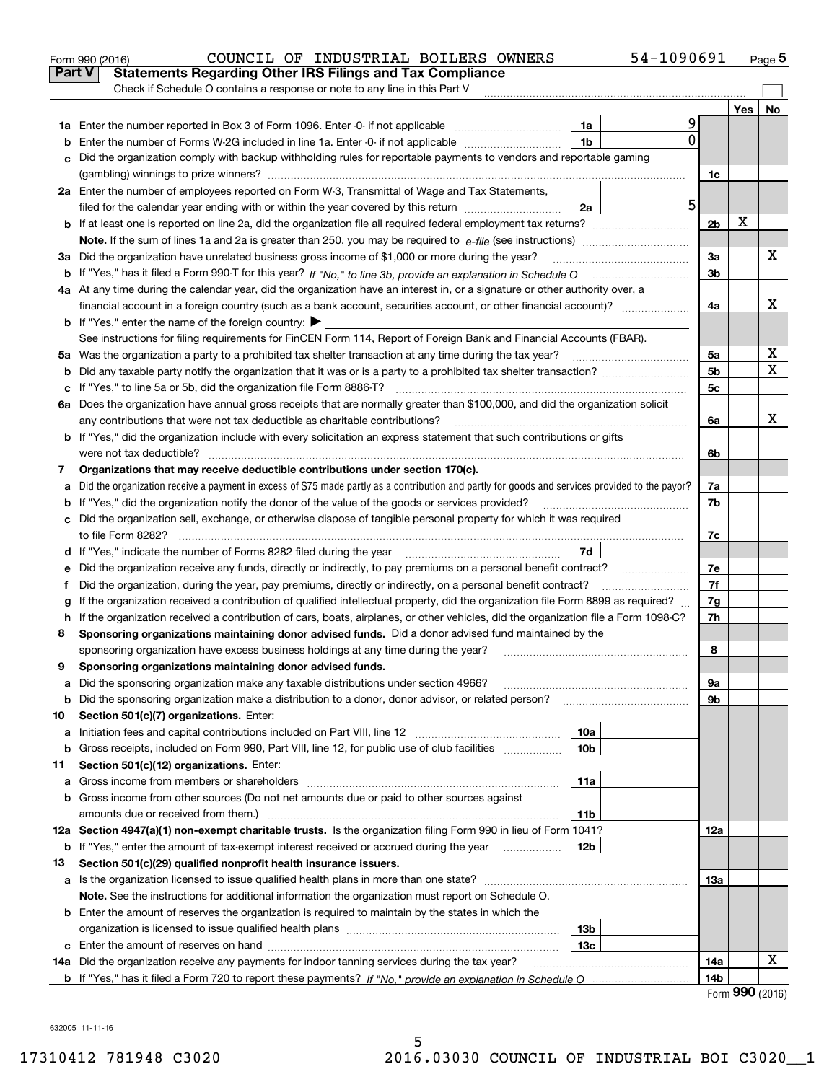|        | COUNCIL OF INDUSTRIAL BOILERS OWNERS<br>Form 990 (2016)                                                                                                                                                                        |                 | 54-1090691     |                |     | Page 5 |
|--------|--------------------------------------------------------------------------------------------------------------------------------------------------------------------------------------------------------------------------------|-----------------|----------------|----------------|-----|--------|
| Part V | <b>Statements Regarding Other IRS Filings and Tax Compliance</b>                                                                                                                                                               |                 |                |                |     |        |
|        | Check if Schedule O contains a response or note to any line in this Part V                                                                                                                                                     |                 |                |                |     |        |
|        |                                                                                                                                                                                                                                |                 |                |                | Yes | No     |
|        |                                                                                                                                                                                                                                | 1a              | 9              |                |     |        |
| b      | Enter the number of Forms W-2G included in line 1a. Enter -0- if not applicable                                                                                                                                                | 1 <sub>b</sub>  | $\overline{0}$ |                |     |        |
| c      | Did the organization comply with backup withholding rules for reportable payments to vendors and reportable gaming                                                                                                             |                 |                |                |     |        |
|        |                                                                                                                                                                                                                                |                 |                | 1c             |     |        |
|        | 2a Enter the number of employees reported on Form W-3, Transmittal of Wage and Tax Statements,                                                                                                                                 |                 |                |                |     |        |
|        | filed for the calendar year ending with or within the year covered by this return                                                                                                                                              | 2a              | 5              |                |     |        |
|        |                                                                                                                                                                                                                                |                 |                | 2 <sub>b</sub> | х   |        |
|        |                                                                                                                                                                                                                                |                 |                |                |     |        |
|        | 3a Did the organization have unrelated business gross income of \$1,000 or more during the year?                                                                                                                               |                 |                | За             |     | x      |
|        |                                                                                                                                                                                                                                |                 |                | 3b             |     |        |
|        | 4a At any time during the calendar year, did the organization have an interest in, or a signature or other authority over, a                                                                                                   |                 |                |                |     |        |
|        | financial account in a foreign country (such as a bank account, securities account, or other financial account)?                                                                                                               |                 |                | 4a             |     | x      |
|        | <b>b</b> If "Yes," enter the name of the foreign country: $\blacktriangleright$                                                                                                                                                |                 |                |                |     |        |
|        | See instructions for filing requirements for FinCEN Form 114, Report of Foreign Bank and Financial Accounts (FBAR).                                                                                                            |                 |                |                |     |        |
|        | 5a Was the organization a party to a prohibited tax shelter transaction at any time during the tax year?                                                                                                                       |                 |                | 5a             |     | x      |
| b      |                                                                                                                                                                                                                                |                 |                | 5 <sub>b</sub> |     | X      |
| c      | If "Yes," to line 5a or 5b, did the organization file Form 8886-T?                                                                                                                                                             |                 |                | 5c             |     |        |
|        | 6a Does the organization have annual gross receipts that are normally greater than \$100,000, and did the organization solicit                                                                                                 |                 |                |                |     |        |
|        | any contributions that were not tax deductible as charitable contributions?                                                                                                                                                    |                 |                | 6a             |     | X      |
|        | <b>b</b> If "Yes," did the organization include with every solicitation an express statement that such contributions or gifts                                                                                                  |                 |                |                |     |        |
|        | were not tax deductible?                                                                                                                                                                                                       |                 |                |                |     |        |
| 7      | Organizations that may receive deductible contributions under section 170(c).                                                                                                                                                  |                 |                |                |     |        |
| а      | Did the organization receive a payment in excess of \$75 made partly as a contribution and partly for goods and services provided to the payor?                                                                                |                 |                |                |     |        |
| b      | If "Yes," did the organization notify the donor of the value of the goods or services provided?                                                                                                                                |                 |                |                |     |        |
|        | c Did the organization sell, exchange, or otherwise dispose of tangible personal property for which it was required                                                                                                            |                 |                |                |     |        |
|        |                                                                                                                                                                                                                                |                 |                | 7c             |     |        |
|        | d If "Yes," indicate the number of Forms 8282 filed during the year [11] [11] The System manuscription of Forms 8282 filed during the year [11] [12] The System manuscription of the Wales of the Wales of the Wales of the Wa | 7d              |                |                |     |        |
| е      |                                                                                                                                                                                                                                |                 |                | 7e             |     |        |
| f      | Did the organization, during the year, pay premiums, directly or indirectly, on a personal benefit contract?                                                                                                                   |                 |                | 7f             |     |        |
| g      | If the organization received a contribution of qualified intellectual property, did the organization file Form 8899 as required?                                                                                               |                 |                | 7g             |     |        |
| h.     | If the organization received a contribution of cars, boats, airplanes, or other vehicles, did the organization file a Form 1098-C?                                                                                             |                 |                | 7h             |     |        |
| 8      | Sponsoring organizations maintaining donor advised funds. Did a donor advised fund maintained by the                                                                                                                           |                 |                |                |     |        |
|        | sponsoring organization have excess business holdings at any time during the year?                                                                                                                                             |                 |                | 8              |     |        |
|        | Sponsoring organizations maintaining donor advised funds.                                                                                                                                                                      |                 |                |                |     |        |
| а      | Did the sponsoring organization make any taxable distributions under section 4966?                                                                                                                                             |                 |                | 9а             |     |        |
| b      | Did the sponsoring organization make a distribution to a donor, donor advisor, or related person?                                                                                                                              |                 |                | 9b             |     |        |
| 10     | Section 501(c)(7) organizations. Enter:                                                                                                                                                                                        |                 |                |                |     |        |
| а      | Initiation fees and capital contributions included on Part VIII, line 12 <i>manuarrouus</i> manuations of the lates                                                                                                            | 10a             |                |                |     |        |
| b      | Gross receipts, included on Form 990, Part VIII, line 12, for public use of club facilities                                                                                                                                    | 10 <sub>b</sub> |                |                |     |        |
| 11     | Section 501(c)(12) organizations. Enter:                                                                                                                                                                                       | 11a             |                |                |     |        |
| a      | Gross income from members or shareholders                                                                                                                                                                                      |                 |                |                |     |        |
| b      | Gross income from other sources (Do not net amounts due or paid to other sources against<br>amounts due or received from them.)                                                                                                |                 |                |                |     |        |
|        | 12a Section 4947(a)(1) non-exempt charitable trusts. Is the organization filing Form 990 in lieu of Form 1041?                                                                                                                 | 11b             |                |                |     |        |
|        | <b>b</b> If "Yes," enter the amount of tax-exempt interest received or accrued during the year <i>manument</i>                                                                                                                 | 12b             |                | 12a            |     |        |
| 13     | Section 501(c)(29) qualified nonprofit health insurance issuers.                                                                                                                                                               |                 |                |                |     |        |
| а      | Is the organization licensed to issue qualified health plans in more than one state?                                                                                                                                           |                 |                | 13а            |     |        |
|        | Note. See the instructions for additional information the organization must report on Schedule O.                                                                                                                              |                 |                |                |     |        |
|        | <b>b</b> Enter the amount of reserves the organization is required to maintain by the states in which the                                                                                                                      |                 |                |                |     |        |
|        |                                                                                                                                                                                                                                | 13 <sub>b</sub> |                |                |     |        |
|        |                                                                                                                                                                                                                                | 13c             |                |                |     |        |
|        | 14a Did the organization receive any payments for indoor tanning services during the tax year?                                                                                                                                 |                 |                | 14a            |     | x      |
|        |                                                                                                                                                                                                                                |                 |                | 14b            |     |        |
|        |                                                                                                                                                                                                                                |                 |                |                |     |        |

Form (2016) **990**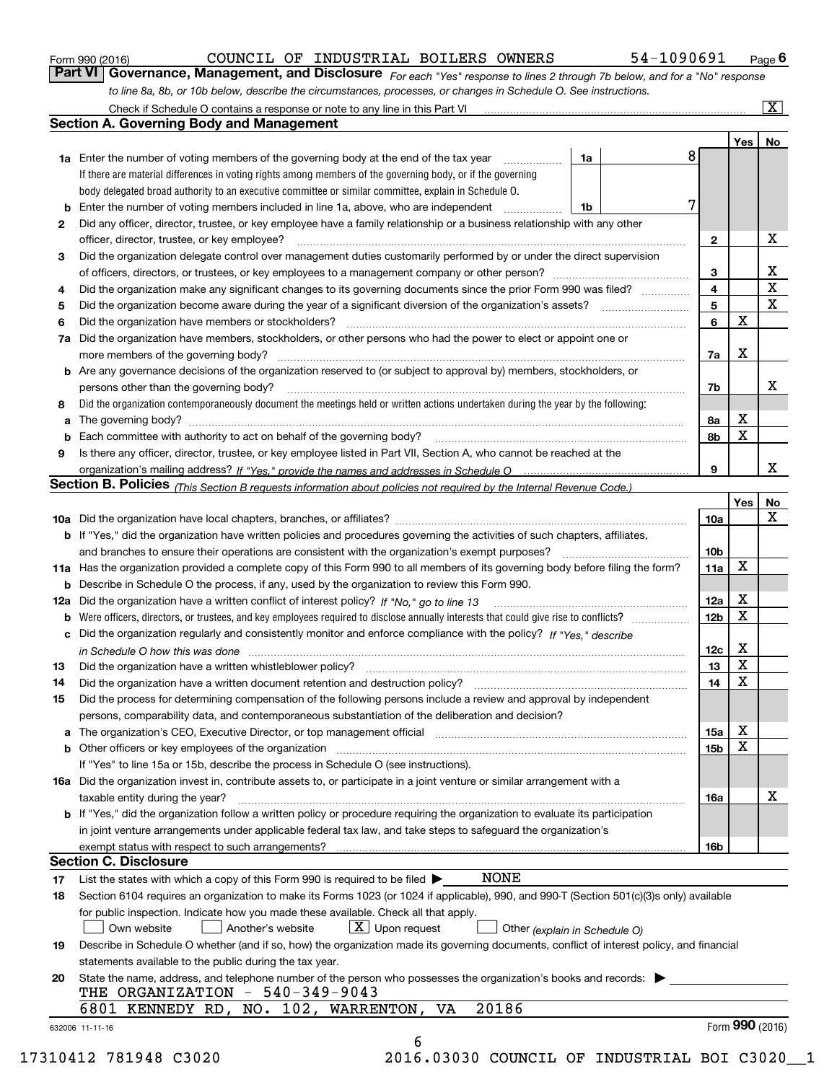| Form 990 (2016) |  |  |
|-----------------|--|--|
|                 |  |  |

*For each "Yes" response to lines 2 through 7b below, and for a "No" response to line 8a, 8b, or 10b below, describe the circumstances, processes, or changes in Schedule O. See instructions.* Form 990 (2016) **COUNCIL OF INDUSTRIAL BOILERS OWNERS** 54-1090691 Page 6<br>**Part VI Governance, Management, and Disclosure** For each "Yes" response to lines 2 through 7b below, and for a "No" response

|     |                                                                                                                                                                            |                               |    |                 | Yes <sub>1</sub> | No          |
|-----|----------------------------------------------------------------------------------------------------------------------------------------------------------------------------|-------------------------------|----|-----------------|------------------|-------------|
|     | <b>1a</b> Enter the number of voting members of the governing body at the end of the tax year <i>manumum</i>                                                               | 1a                            | 8  |                 |                  |             |
|     | If there are material differences in voting rights among members of the governing body, or if the governing                                                                |                               |    |                 |                  |             |
|     | body delegated broad authority to an executive committee or similar committee, explain in Schedule O.                                                                      |                               |    |                 |                  |             |
|     | Enter the number of voting members included in line 1a, above, who are independent                                                                                         | 1b                            | 7  |                 |                  |             |
| 2   | Did any officer, director, trustee, or key employee have a family relationship or a business relationship with any other                                                   |                               |    |                 |                  |             |
|     | officer, director, trustee, or key employee?                                                                                                                               |                               |    | $\mathbf{2}$    |                  | х           |
| 3   | Did the organization delegate control over management duties customarily performed by or under the direct supervision                                                      |                               |    |                 |                  |             |
|     |                                                                                                                                                                            |                               |    | 3               |                  | х           |
| 4   | Did the organization make any significant changes to its governing documents since the prior Form 990 was filed?                                                           |                               |    | 4               |                  | $\mathbf X$ |
| 5   |                                                                                                                                                                            |                               |    | 5               |                  | X           |
| 6   |                                                                                                                                                                            |                               |    | 6               | $\mathbf X$      |             |
| 7a  | Did the organization have members, stockholders, or other persons who had the power to elect or appoint one or                                                             |                               |    |                 |                  |             |
|     |                                                                                                                                                                            |                               |    | 7a              | х                |             |
|     | <b>b</b> Are any governance decisions of the organization reserved to (or subject to approval by) members, stockholders, or                                                |                               |    |                 |                  |             |
|     | persons other than the governing body?                                                                                                                                     |                               |    | 7b              |                  | х           |
| 8   | Did the organization contemporaneously document the meetings held or written actions undertaken during the year by the following:                                          |                               |    |                 |                  |             |
| a   |                                                                                                                                                                            |                               | 8a |                 | х                |             |
|     |                                                                                                                                                                            |                               |    | 8b              | X                |             |
| 9   | Is there any officer, director, trustee, or key employee listed in Part VII, Section A, who cannot be reached at the                                                       |                               |    |                 |                  |             |
|     |                                                                                                                                                                            |                               | 9  |                 |                  | х           |
|     | Section B. Policies (This Section B requests information about policies not required by the Internal Revenue Code.)                                                        |                               |    |                 |                  |             |
|     |                                                                                                                                                                            |                               |    |                 | Yes              | No          |
|     |                                                                                                                                                                            |                               |    | 10a             |                  | X           |
|     | <b>b</b> If "Yes," did the organization have written policies and procedures governing the activities of such chapters, affiliates,                                        |                               |    |                 |                  |             |
|     |                                                                                                                                                                            |                               |    | 10 <sub>b</sub> |                  |             |
|     | 11a Has the organization provided a complete copy of this Form 990 to all members of its governing body before filing the form?                                            |                               |    | 11a             | X                |             |
|     | <b>b</b> Describe in Schedule O the process, if any, used by the organization to review this Form 990.                                                                     |                               |    |                 |                  |             |
| 12a |                                                                                                                                                                            |                               |    | <b>12a</b>      | х                |             |
| b   |                                                                                                                                                                            |                               |    | 12b             | X                |             |
|     | c Did the organization regularly and consistently monitor and enforce compliance with the policy? If "Yes," describe                                                       |                               |    |                 |                  |             |
|     | in Schedule O how this was done encourance and the control of the state of the state of the state of the state                                                             |                               |    | 12c             | х                |             |
| 13  | Did the organization have a written whistleblower policy?                                                                                                                  |                               |    | 13              | X                |             |
| 14  | Did the organization have a written document retention and destruction policy? manufactured and the organization have a written document retention and destruction policy? |                               |    | 14              | X                |             |
| 15  | Did the process for determining compensation of the following persons include a review and approval by independent                                                         |                               |    |                 |                  |             |
|     | persons, comparability data, and contemporaneous substantiation of the deliberation and decision?                                                                          |                               |    |                 |                  |             |
|     |                                                                                                                                                                            |                               |    | 15a             | х                |             |
|     | <b>b</b> Other officers or key employees of the organization                                                                                                               |                               |    | 15 <sub>b</sub> | $\mathbf X$      |             |
|     | If "Yes" to line 15a or 15b, describe the process in Schedule O (see instructions).                                                                                        |                               |    |                 |                  |             |
|     | 16a Did the organization invest in, contribute assets to, or participate in a joint venture or similar arrangement with a                                                  |                               |    |                 |                  |             |
|     | taxable entity during the year?                                                                                                                                            |                               |    | 16a             |                  | х           |
|     | <b>b</b> If "Yes," did the organization follow a written policy or procedure requiring the organization to evaluate its participation                                      |                               |    |                 |                  |             |
|     | in joint venture arrangements under applicable federal tax law, and take steps to safeguard the organization's                                                             |                               |    |                 |                  |             |
|     |                                                                                                                                                                            |                               |    | 16b             |                  |             |
|     | <b>Section C. Disclosure</b>                                                                                                                                               |                               |    |                 |                  |             |
| 17  | <b>NONE</b><br>List the states with which a copy of this Form 990 is required to be filed $\blacktriangleright$                                                            |                               |    |                 |                  |             |
| 18  | Section 6104 requires an organization to make its Forms 1023 (or 1024 if applicable), 990, and 990-T (Section 501(c)(3)s only) available                                   |                               |    |                 |                  |             |
|     | for public inspection. Indicate how you made these available. Check all that apply.                                                                                        |                               |    |                 |                  |             |
|     | $\boxed{\textbf{X}}$ Upon request<br>Own website<br>Another's website                                                                                                      | Other (explain in Schedule O) |    |                 |                  |             |
| 19  | Describe in Schedule O whether (and if so, how) the organization made its governing documents, conflict of interest policy, and financial                                  |                               |    |                 |                  |             |
|     | statements available to the public during the tax year.                                                                                                                    |                               |    |                 |                  |             |
| 20  | State the name, address, and telephone number of the person who possesses the organization's books and records:                                                            |                               |    |                 |                  |             |
|     | THE ORGANIZATION - 540-349-9043                                                                                                                                            |                               |    |                 |                  |             |
|     | 20186<br>6801 KENNEDY RD, NO. 102, WARRENTON, VA                                                                                                                           |                               |    |                 |                  |             |
|     |                                                                                                                                                                            |                               |    |                 |                  |             |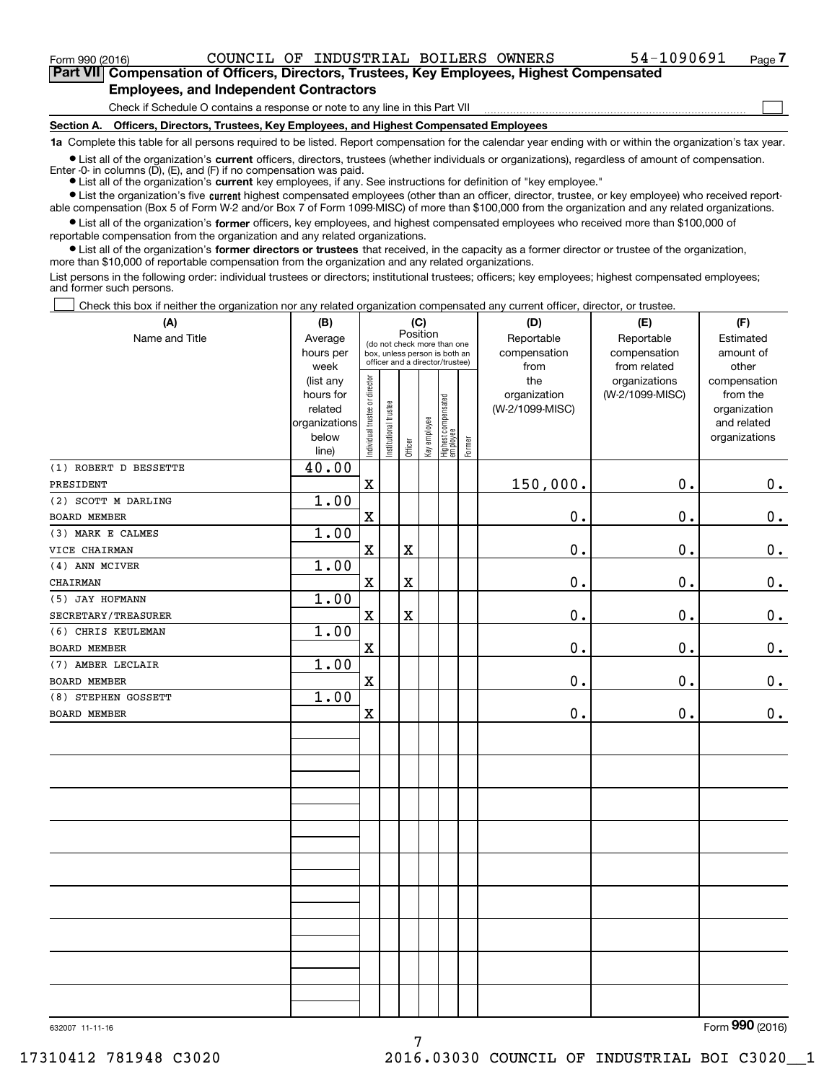$\mathcal{L}^{\text{max}}$ 

**7Part VII Compensation of Officers, Directors, Trustees, Key Employees, Highest Compensated Employees, and Independent Contractors**

Check if Schedule O contains a response or note to any line in this Part VII

**Section A. Officers, Directors, Trustees, Key Employees, and Highest Compensated Employees**

**1a**  Complete this table for all persons required to be listed. Report compensation for the calendar year ending with or within the organization's tax year.

**•** List all of the organization's current officers, directors, trustees (whether individuals or organizations), regardless of amount of compensation. Enter -0- in columns  $(D)$ ,  $(E)$ , and  $(F)$  if no compensation was paid.

● List all of the organization's **current** key employees, if any. See instructions for definition of "key employee."

**•** List the organization's five current highest compensated employees (other than an officer, director, trustee, or key employee) who received reportable compensation (Box 5 of Form W-2 and/or Box 7 of Form 1099-MISC) of more than \$100,000 from the organization and any related organizations.

 $\bullet$  List all of the organization's **former** officers, key employees, and highest compensated employees who received more than \$100,000 of reportable compensation from the organization and any related organizations.

**•** List all of the organization's former directors or trustees that received, in the capacity as a former director or trustee of the organization, more than \$10,000 of reportable compensation from the organization and any related organizations.

List persons in the following order: individual trustees or directors; institutional trustees; officers; key employees; highest compensated employees; and former such persons.

Check this box if neither the organization nor any related organization compensated any current officer, director, or trustee.  $\mathcal{L}^{\text{max}}$ 

| (A)                   | (B)                    | (C)                                     |                                 | (D)         | (E)          | (F)                              |        |                 |                 |                              |
|-----------------------|------------------------|-----------------------------------------|---------------------------------|-------------|--------------|----------------------------------|--------|-----------------|-----------------|------------------------------|
| Name and Title        | Average                | Position<br>(do not check more than one |                                 | Reportable  | Reportable   | Estimated                        |        |                 |                 |                              |
|                       | hours per              |                                         | box, unless person is both an   |             |              |                                  |        | compensation    | compensation    | amount of                    |
|                       | week                   |                                         | officer and a director/trustee) |             |              |                                  |        | from            | from related    | other                        |
|                       | (list any              |                                         |                                 |             |              |                                  |        | the             | organizations   | compensation                 |
|                       | hours for              |                                         |                                 |             |              |                                  |        | organization    | (W-2/1099-MISC) | from the                     |
|                       | related                |                                         |                                 |             |              |                                  |        | (W-2/1099-MISC) |                 | organization                 |
|                       | organizations<br>below |                                         |                                 |             |              |                                  |        |                 |                 | and related<br>organizations |
|                       | line)                  | Individual trustee or director          | Institutional trustee           | Officer     | Key employee | Highest compensated<br> employee | Former |                 |                 |                              |
| (1) ROBERT D BESSETTE | 40.00                  |                                         |                                 |             |              |                                  |        |                 |                 |                              |
| PRESIDENT             |                        | $\mathbf X$                             |                                 |             |              |                                  |        | 150,000.        | 0.              | 0.                           |
| (2) SCOTT M DARLING   | 1.00                   |                                         |                                 |             |              |                                  |        |                 |                 |                              |
| BOARD MEMBER          |                        | $\mathbf X$                             |                                 |             |              |                                  |        | $\mathbf 0$ .   | 0.              | $0_{.}$                      |
| (3) MARK E CALMES     | 1.00                   |                                         |                                 |             |              |                                  |        |                 |                 |                              |
| VICE CHAIRMAN         |                        | X                                       |                                 | $\mathbf X$ |              |                                  |        | $\mathbf 0$ .   | 0.              | $\mathbf 0$ .                |
| (4) ANN MCIVER        | 1.00                   |                                         |                                 |             |              |                                  |        |                 |                 |                              |
| CHAIRMAN              |                        | $\mathbf X$                             |                                 | $\mathbf X$ |              |                                  |        | 0.              | 0.              | $\mathbf 0$ .                |
| (5) JAY HOFMANN       | 1.00                   |                                         |                                 |             |              |                                  |        |                 |                 |                              |
| SECRETARY/TREASURER   |                        | X                                       |                                 | $\rm X$     |              |                                  |        | 0.              | 0.              | $0_{\cdot}$                  |
| (6) CHRIS KEULEMAN    | 1.00                   |                                         |                                 |             |              |                                  |        |                 |                 |                              |
| BOARD MEMBER          |                        | X                                       |                                 |             |              |                                  |        | 0.              | $0$ .           | $\mathbf 0$ .                |
| (7) AMBER LECLAIR     | 1.00                   |                                         |                                 |             |              |                                  |        |                 |                 |                              |
| <b>BOARD MEMBER</b>   |                        | $\rm X$                                 |                                 |             |              |                                  |        | 0.              | 0.              | 0.                           |
| (8) STEPHEN GOSSETT   | 1.00                   |                                         |                                 |             |              |                                  |        |                 |                 |                              |
| <b>BOARD MEMBER</b>   |                        | X                                       |                                 |             |              |                                  |        | 0.              | 0.              | 0.                           |
|                       |                        |                                         |                                 |             |              |                                  |        |                 |                 |                              |
|                       |                        |                                         |                                 |             |              |                                  |        |                 |                 |                              |
|                       |                        |                                         |                                 |             |              |                                  |        |                 |                 |                              |
|                       |                        |                                         |                                 |             |              |                                  |        |                 |                 |                              |
|                       |                        |                                         |                                 |             |              |                                  |        |                 |                 |                              |
|                       |                        |                                         |                                 |             |              |                                  |        |                 |                 |                              |
|                       |                        |                                         |                                 |             |              |                                  |        |                 |                 |                              |
|                       |                        |                                         |                                 |             |              |                                  |        |                 |                 |                              |
|                       |                        |                                         |                                 |             |              |                                  |        |                 |                 |                              |
|                       |                        |                                         |                                 |             |              |                                  |        |                 |                 |                              |
|                       |                        |                                         |                                 |             |              |                                  |        |                 |                 |                              |
|                       |                        |                                         |                                 |             |              |                                  |        |                 |                 |                              |
|                       |                        |                                         |                                 |             |              |                                  |        |                 |                 |                              |
|                       |                        |                                         |                                 |             |              |                                  |        |                 |                 |                              |
|                       |                        |                                         |                                 |             |              |                                  |        |                 |                 |                              |
|                       |                        |                                         |                                 |             |              |                                  |        |                 |                 |                              |
|                       |                        |                                         |                                 |             |              |                                  |        |                 |                 |                              |

632007 11-11-16

Form (2016) **990**

17310412 781948 C3020 2016.03030 COUNCIL OF INDUSTRIAL BOI C3020\_\_1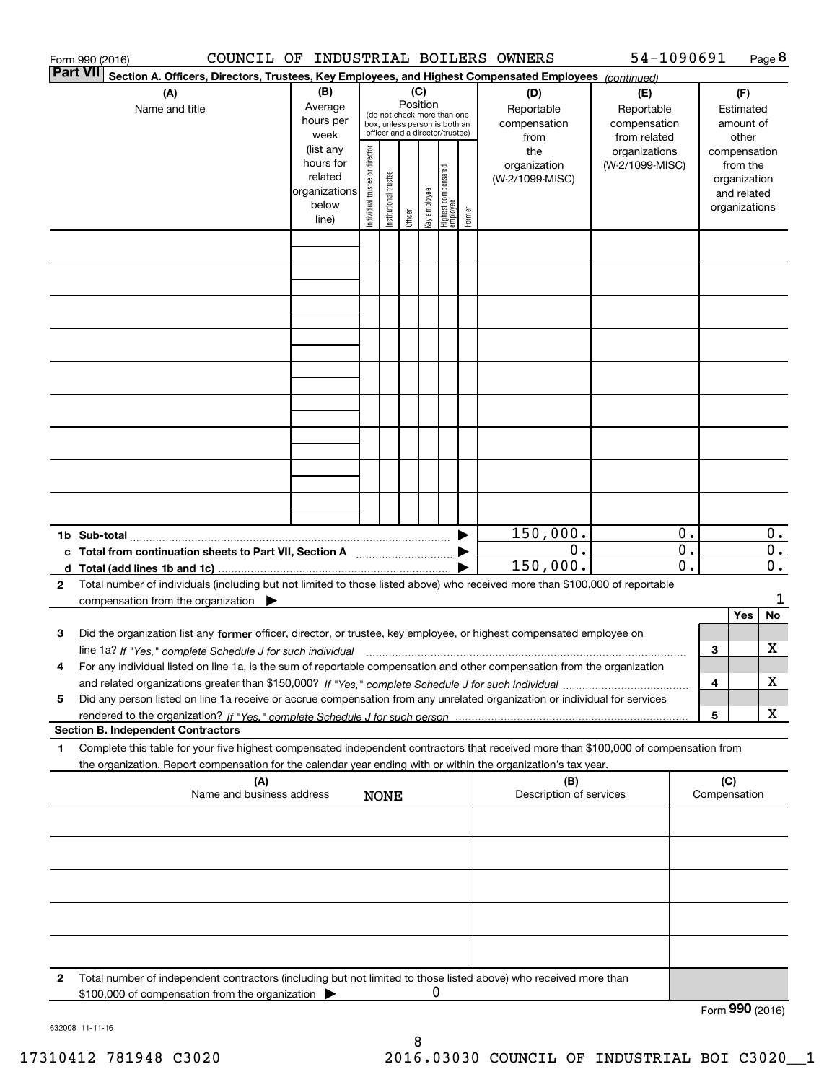|                 | COUNCIL OF INDUSTRIAL BOILERS OWNERS<br>Form 990 (2016)                                                                                         |                          |                                |                       |          |              |                                         |        |                         | 54-1090691      |                  |     |                              | Page 8           |
|-----------------|-------------------------------------------------------------------------------------------------------------------------------------------------|--------------------------|--------------------------------|-----------------------|----------|--------------|-----------------------------------------|--------|-------------------------|-----------------|------------------|-----|------------------------------|------------------|
| <b>Part VII</b> | Section A. Officers, Directors, Trustees, Key Employees, and Highest Compensated Employees (continued)                                          |                          |                                |                       |          |              |                                         |        |                         |                 |                  |     |                              |                  |
|                 | (A)                                                                                                                                             | (B)                      |                                |                       | (C)      |              |                                         |        | (D)                     | (E)             |                  |     | (F)                          |                  |
|                 | Name and title                                                                                                                                  | Average                  |                                |                       | Position |              | (do not check more than one             |        | Reportable              | Reportable      |                  |     | Estimated                    |                  |
|                 |                                                                                                                                                 | hours per                |                                |                       |          |              | box, unless person is both an           |        | compensation            | compensation    |                  |     | amount of                    |                  |
|                 |                                                                                                                                                 | week                     |                                |                       |          |              | officer and a director/trustee)         |        | from                    | from related    |                  |     | other                        |                  |
|                 |                                                                                                                                                 | (list any                |                                |                       |          |              |                                         |        | the                     | organizations   |                  |     | compensation                 |                  |
|                 |                                                                                                                                                 | hours for                |                                |                       |          |              |                                         |        | organization            | (W-2/1099-MISC) |                  |     | from the                     |                  |
|                 |                                                                                                                                                 | related<br>organizations |                                |                       |          |              |                                         |        | (W-2/1099-MISC)         |                 |                  |     | organization                 |                  |
|                 |                                                                                                                                                 | below                    |                                |                       |          |              |                                         |        |                         |                 |                  |     | and related<br>organizations |                  |
|                 |                                                                                                                                                 | line)                    | Individual trustee or director | Institutional trustee | Officer  | Key employee | <br>  Highest compensated<br>  employee | Former |                         |                 |                  |     |                              |                  |
|                 |                                                                                                                                                 |                          |                                |                       |          |              |                                         |        |                         |                 |                  |     |                              |                  |
|                 |                                                                                                                                                 |                          |                                |                       |          |              |                                         |        |                         |                 |                  |     |                              |                  |
|                 |                                                                                                                                                 |                          |                                |                       |          |              |                                         |        |                         |                 |                  |     |                              |                  |
|                 |                                                                                                                                                 |                          |                                |                       |          |              |                                         |        |                         |                 |                  |     |                              |                  |
|                 |                                                                                                                                                 |                          |                                |                       |          |              |                                         |        |                         |                 |                  |     |                              |                  |
|                 |                                                                                                                                                 |                          |                                |                       |          |              |                                         |        |                         |                 |                  |     |                              |                  |
|                 |                                                                                                                                                 |                          |                                |                       |          |              |                                         |        |                         |                 |                  |     |                              |                  |
|                 |                                                                                                                                                 |                          |                                |                       |          |              |                                         |        |                         |                 |                  |     |                              |                  |
|                 |                                                                                                                                                 |                          |                                |                       |          |              |                                         |        |                         |                 |                  |     |                              |                  |
|                 |                                                                                                                                                 |                          |                                |                       |          |              |                                         |        |                         |                 |                  |     |                              |                  |
|                 |                                                                                                                                                 |                          |                                |                       |          |              |                                         |        |                         |                 |                  |     |                              |                  |
|                 |                                                                                                                                                 |                          |                                |                       |          |              |                                         |        |                         |                 |                  |     |                              |                  |
|                 |                                                                                                                                                 |                          |                                |                       |          |              |                                         |        |                         |                 |                  |     |                              |                  |
|                 |                                                                                                                                                 |                          |                                |                       |          |              |                                         |        |                         |                 |                  |     |                              |                  |
|                 |                                                                                                                                                 |                          |                                |                       |          |              |                                         |        |                         |                 |                  |     |                              |                  |
|                 |                                                                                                                                                 |                          |                                |                       |          |              |                                         |        |                         |                 |                  |     |                              |                  |
|                 |                                                                                                                                                 |                          |                                |                       |          |              |                                         |        |                         |                 |                  |     |                              |                  |
|                 |                                                                                                                                                 |                          |                                |                       |          |              |                                         |        |                         |                 |                  |     |                              |                  |
|                 |                                                                                                                                                 |                          |                                |                       |          |              |                                         |        | 150,000.                |                 | 0.               |     |                              | 0.               |
|                 |                                                                                                                                                 |                          |                                |                       |          |              |                                         |        | 0.                      |                 | $\overline{0}$ . |     |                              | $\overline{0}$ . |
|                 | c Total from continuation sheets to Part VII, Section A <b>manual</b> Testion Structure 1                                                       |                          |                                |                       |          |              |                                         |        | 150,000.                |                 | $\overline{0}$ . |     |                              | $\overline{0}$ . |
|                 |                                                                                                                                                 |                          |                                |                       |          |              |                                         |        |                         |                 |                  |     |                              |                  |
| $\mathbf{2}$    | Total number of individuals (including but not limited to those listed above) who received more than \$100,000 of reportable                    |                          |                                |                       |          |              |                                         |        |                         |                 |                  |     |                              | 1                |
|                 | compensation from the organization $\blacktriangleright$                                                                                        |                          |                                |                       |          |              |                                         |        |                         |                 |                  |     | Yes                          | No               |
|                 |                                                                                                                                                 |                          |                                |                       |          |              |                                         |        |                         |                 |                  |     |                              |                  |
| 3               | Did the organization list any former officer, director, or trustee, key employee, or highest compensated employee on                            |                          |                                |                       |          |              |                                         |        |                         |                 |                  |     |                              | х                |
|                 | line 1a? If "Yes," complete Schedule J for such individual manufactured contained and the 1a? If "Yes," complete Schedule J for such individual |                          |                                |                       |          |              |                                         |        |                         |                 |                  | З   |                              |                  |
|                 | For any individual listed on line 1a, is the sum of reportable compensation and other compensation from the organization                        |                          |                                |                       |          |              |                                         |        |                         |                 |                  |     |                              | х                |
|                 |                                                                                                                                                 |                          |                                |                       |          |              |                                         |        |                         |                 |                  | 4   |                              |                  |
| 5               | Did any person listed on line 1a receive or accrue compensation from any unrelated organization or individual for services                      |                          |                                |                       |          |              |                                         |        |                         |                 |                  |     |                              | х                |
|                 | <b>Section B. Independent Contractors</b>                                                                                                       |                          |                                |                       |          |              |                                         |        |                         |                 |                  | 5   |                              |                  |
|                 | Complete this table for your five highest compensated independent contractors that received more than \$100,000 of compensation from            |                          |                                |                       |          |              |                                         |        |                         |                 |                  |     |                              |                  |
| 1               | the organization. Report compensation for the calendar year ending with or within the organization's tax year.                                  |                          |                                |                       |          |              |                                         |        |                         |                 |                  |     |                              |                  |
|                 | (A)                                                                                                                                             |                          |                                |                       |          |              |                                         |        | (B)                     |                 |                  | (C) |                              |                  |
|                 | Name and business address                                                                                                                       |                          |                                | <b>NONE</b>           |          |              |                                         |        | Description of services |                 |                  |     | Compensation                 |                  |
|                 |                                                                                                                                                 |                          |                                |                       |          |              |                                         |        |                         |                 |                  |     |                              |                  |
|                 |                                                                                                                                                 |                          |                                |                       |          |              |                                         |        |                         |                 |                  |     |                              |                  |
|                 |                                                                                                                                                 |                          |                                |                       |          |              |                                         |        |                         |                 |                  |     |                              |                  |
|                 |                                                                                                                                                 |                          |                                |                       |          |              |                                         |        |                         |                 |                  |     |                              |                  |
|                 |                                                                                                                                                 |                          |                                |                       |          |              |                                         |        |                         |                 |                  |     |                              |                  |
|                 |                                                                                                                                                 |                          |                                |                       |          |              |                                         |        |                         |                 |                  |     |                              |                  |
|                 |                                                                                                                                                 |                          |                                |                       |          |              |                                         |        |                         |                 |                  |     |                              |                  |
|                 |                                                                                                                                                 |                          |                                |                       |          |              |                                         |        |                         |                 |                  |     |                              |                  |
|                 |                                                                                                                                                 |                          |                                |                       |          |              |                                         |        |                         |                 |                  |     |                              |                  |
|                 |                                                                                                                                                 |                          |                                |                       |          |              |                                         |        |                         |                 |                  |     |                              |                  |
| 2               | Total number of independent contractors (including but not limited to those listed above) who received more than                                |                          |                                |                       |          |              |                                         |        |                         |                 |                  |     |                              |                  |
|                 | \$100,000 of compensation from the organization                                                                                                 |                          |                                |                       |          | 0            |                                         |        |                         |                 |                  |     |                              |                  |
|                 |                                                                                                                                                 |                          |                                |                       |          |              |                                         |        |                         |                 |                  |     | Form 990 (2016)              |                  |
|                 |                                                                                                                                                 |                          |                                |                       |          |              |                                         |        |                         |                 |                  |     |                              |                  |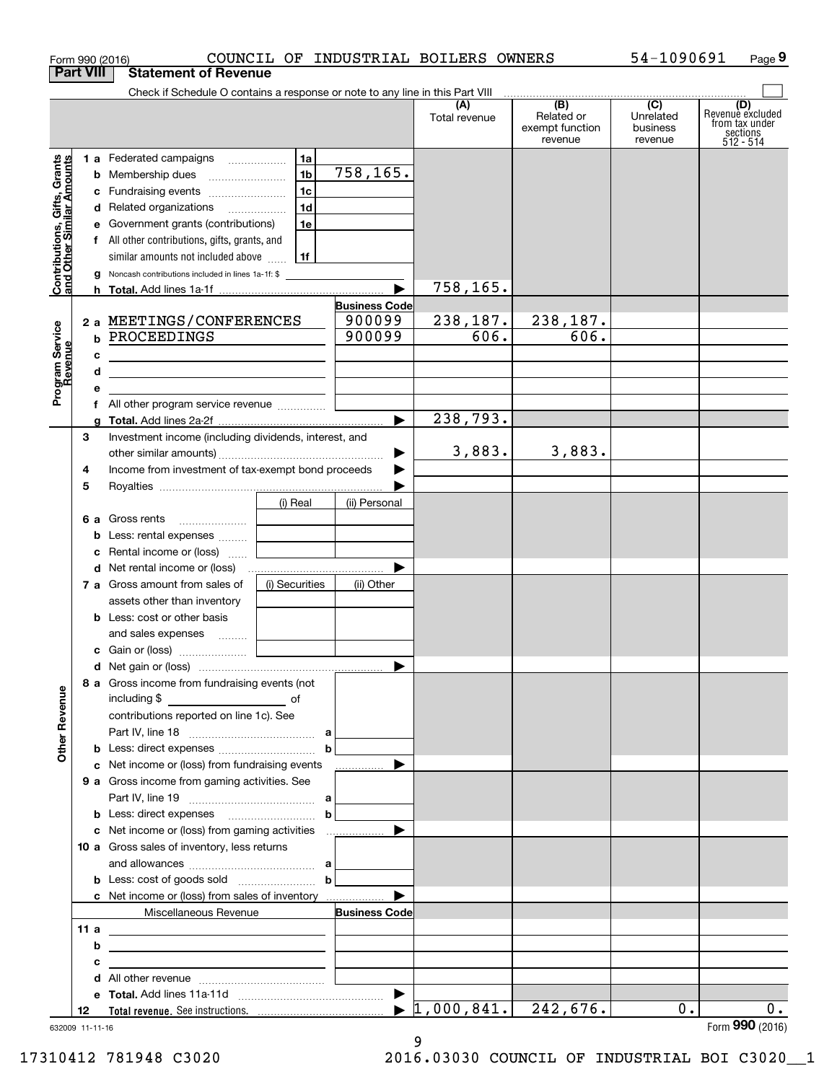|                                                           |                       | COUNCIL OF INDUSTRIAL BOILERS OWNERS<br>Form 990 (2016)                                                                                                                                                                                                                                                                            |                                          |                                  |                                                 | 54-1090691                                           | Page 9                                                             |
|-----------------------------------------------------------|-----------------------|------------------------------------------------------------------------------------------------------------------------------------------------------------------------------------------------------------------------------------------------------------------------------------------------------------------------------------|------------------------------------------|----------------------------------|-------------------------------------------------|------------------------------------------------------|--------------------------------------------------------------------|
|                                                           | <b>Part VIII</b>      | <b>Statement of Revenue</b>                                                                                                                                                                                                                                                                                                        |                                          |                                  |                                                 |                                                      |                                                                    |
|                                                           |                       | Check if Schedule O contains a response or note to any line in this Part VIII                                                                                                                                                                                                                                                      |                                          | (A)<br>Total revenue             | (B)<br>Related or<br>exempt function<br>revenue | $\overline{(C)}$<br>Unrelated<br>business<br>revenue | (D)<br>Revenue excluded<br>from tax under<br>sections<br>512 - 514 |
| Contributions, Gifts, Grants<br>and Other Similar Amounts |                       | 1a<br>1 a Federated campaigns<br> 1 <sub>b</sub>  <br>1c<br>c Fundraising events<br>1d<br>d Related organizations<br>1e<br>e Government grants (contributions)<br>f All other contributions, gifts, grants, and<br>similar amounts not included above $\frac{1}{11}$<br><b>g</b> Noncash contributions included in lines 1a-1f: \$ | 758,165.                                 |                                  |                                                 |                                                      |                                                                    |
|                                                           |                       |                                                                                                                                                                                                                                                                                                                                    |                                          | 758,165.                         |                                                 |                                                      |                                                                    |
| Program Service<br>Revenue                                | b<br>c<br>d           | 2 a MEETINGS/CONFERENCES<br>PROCEEDINGS<br><u> 1980 - Jan Barnett, fransk politiker (d. 1980)</u>                                                                                                                                                                                                                                  | <b>Business Code</b><br>900099<br>900099 | 238,187.<br>606.                 | 238,187.<br>606.                                |                                                      |                                                                    |
|                                                           | е<br>3                | f All other program service revenue<br>Investment income (including dividends, interest, and                                                                                                                                                                                                                                       |                                          | 238,793.                         |                                                 |                                                      |                                                                    |
|                                                           | 4<br>5                | Income from investment of tax-exempt bond proceeds<br>(i) Real                                                                                                                                                                                                                                                                     | ▶                                        | 3,883.                           | 3,883.                                          |                                                      |                                                                    |
|                                                           |                       | <b>6 a</b> Gross rents<br>b Less: rental expenses<br><b>c</b> Rental income or (loss) $\ldots$<br><b>d</b> Net rental income or (loss)<br>(i) Securities<br>7 a Gross amount from sales of                                                                                                                                         | (ii) Personal<br>(ii) Other              |                                  |                                                 |                                                      |                                                                    |
|                                                           |                       | assets other than inventory<br><b>b</b> Less: cost or other basis<br>and sales expenses                                                                                                                                                                                                                                            |                                          |                                  |                                                 |                                                      |                                                                    |
| <b>Other Revenue</b>                                      |                       | 8 a Gross income from fundraising events (not<br>contributions reported on line 1c). See                                                                                                                                                                                                                                           |                                          |                                  |                                                 |                                                      |                                                                    |
|                                                           |                       | <b>b</b> Less: direct expenses <i>manually contained</i>                                                                                                                                                                                                                                                                           | $\mathbf{b}$                             |                                  |                                                 |                                                      |                                                                    |
|                                                           |                       | c Net income or (loss) from fundraising events<br><b>9 a</b> Gross income from gaming activities. See                                                                                                                                                                                                                              |                                          |                                  |                                                 |                                                      |                                                                    |
|                                                           |                       | <b>b</b> Less: direct expenses <b>contained b</b> Less: direct expenses<br>c Net income or (loss) from gaming activities<br>10 a Gross sales of inventory, less returns                                                                                                                                                            | $\mathbf b$<br>$\mathbf{b}$              |                                  |                                                 |                                                      |                                                                    |
|                                                           |                       | c Net income or (loss) from sales of inventory                                                                                                                                                                                                                                                                                     |                                          |                                  |                                                 |                                                      |                                                                    |
|                                                           |                       | Miscellaneous Revenue                                                                                                                                                                                                                                                                                                              | <b>Business Code</b>                     |                                  |                                                 |                                                      |                                                                    |
|                                                           | 11 a<br>b<br>с        | <u> 1980 - Andrea Andrew Maria (h. 1980).</u><br>the contract of the contract of the contract of the contract of the contract of                                                                                                                                                                                                   |                                          |                                  |                                                 |                                                      |                                                                    |
|                                                           | d                     |                                                                                                                                                                                                                                                                                                                                    |                                          |                                  |                                                 |                                                      |                                                                    |
|                                                           |                       |                                                                                                                                                                                                                                                                                                                                    |                                          | $\blacktriangleright$ 1,000,841. | 242,676.                                        | 0.                                                   | 0.                                                                 |
|                                                           | 12<br>632009 11-11-16 |                                                                                                                                                                                                                                                                                                                                    |                                          |                                  |                                                 |                                                      | Form 990 (2016)                                                    |

632009 11-11-16

9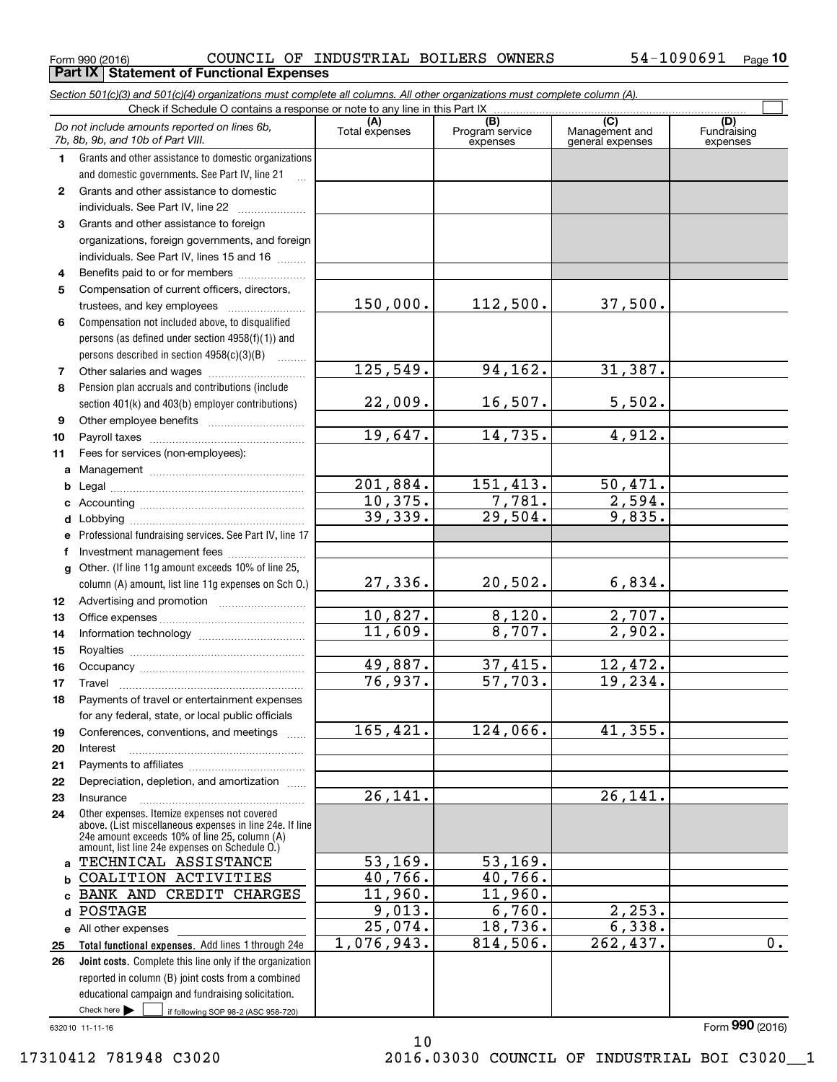**Part IX Statement of Functional Expenses**

 $_{\rm Form}$   $_{990}$  (2016)  $_{\rm PQe}$  COUNCIL OF INDUSTRIAL BOILERS OWNERS  $_{\rm 54-1090691}$   $_{\rm Page}$ **10**

|              | Section 501(c)(3) and 501(c)(4) organizations must complete all columns. All other organizations must complete column (A).<br>Check if Schedule O contains a response or note to any line in this Part IX |                       |                             |                                    |                         |  |  |  |  |  |
|--------------|-----------------------------------------------------------------------------------------------------------------------------------------------------------------------------------------------------------|-----------------------|-----------------------------|------------------------------------|-------------------------|--|--|--|--|--|
|              | Do not include amounts reported on lines 6b,                                                                                                                                                              | (A)<br>Total expenses | (B)                         | (C)                                | (D)                     |  |  |  |  |  |
|              | 7b, 8b, 9b, and 10b of Part VIII.                                                                                                                                                                         |                       | Program service<br>expenses | Management and<br>general expenses | Fundraising<br>expenses |  |  |  |  |  |
| 1.           | Grants and other assistance to domestic organizations                                                                                                                                                     |                       |                             |                                    |                         |  |  |  |  |  |
|              | and domestic governments. See Part IV, line 21                                                                                                                                                            |                       |                             |                                    |                         |  |  |  |  |  |
| $\mathbf{2}$ | Grants and other assistance to domestic                                                                                                                                                                   |                       |                             |                                    |                         |  |  |  |  |  |
|              | individuals. See Part IV, line 22                                                                                                                                                                         |                       |                             |                                    |                         |  |  |  |  |  |
| 3            | Grants and other assistance to foreign                                                                                                                                                                    |                       |                             |                                    |                         |  |  |  |  |  |
|              | organizations, foreign governments, and foreign                                                                                                                                                           |                       |                             |                                    |                         |  |  |  |  |  |
|              | individuals. See Part IV, lines 15 and 16                                                                                                                                                                 |                       |                             |                                    |                         |  |  |  |  |  |
| 4            | Benefits paid to or for members                                                                                                                                                                           |                       |                             |                                    |                         |  |  |  |  |  |
| 5            | Compensation of current officers, directors,                                                                                                                                                              |                       |                             |                                    |                         |  |  |  |  |  |
|              | trustees, and key employees                                                                                                                                                                               | 150,000.              | 112,500.                    | 37,500.                            |                         |  |  |  |  |  |
| 6            | Compensation not included above, to disqualified                                                                                                                                                          |                       |                             |                                    |                         |  |  |  |  |  |
|              | persons (as defined under section 4958(f)(1)) and                                                                                                                                                         |                       |                             |                                    |                         |  |  |  |  |  |
|              | persons described in section 4958(c)(3)(B)<br>1.1.1.1.1.1.1                                                                                                                                               | 125,549.              | 94, 162.                    | 31,387.                            |                         |  |  |  |  |  |
| 7<br>8       | Pension plan accruals and contributions (include                                                                                                                                                          |                       |                             |                                    |                         |  |  |  |  |  |
|              | section 401(k) and 403(b) employer contributions)                                                                                                                                                         | 22,009.               | 16,507.                     | 5,502.                             |                         |  |  |  |  |  |
| 9            |                                                                                                                                                                                                           |                       |                             |                                    |                         |  |  |  |  |  |
| 10           |                                                                                                                                                                                                           | 19,647.               | 14,735.                     | 4,912.                             |                         |  |  |  |  |  |
| 11           | Fees for services (non-employees):                                                                                                                                                                        |                       |                             |                                    |                         |  |  |  |  |  |
|              |                                                                                                                                                                                                           |                       |                             |                                    |                         |  |  |  |  |  |
| b            |                                                                                                                                                                                                           | 201,884.              | 151,413.                    | 50,471.                            |                         |  |  |  |  |  |
| c            |                                                                                                                                                                                                           | 10,375.               | 7,781.                      | 2,594.                             |                         |  |  |  |  |  |
| d            |                                                                                                                                                                                                           | 39,339.               | 29,504.                     | 9,835.                             |                         |  |  |  |  |  |
| е            | Professional fundraising services. See Part IV, line 17                                                                                                                                                   |                       |                             |                                    |                         |  |  |  |  |  |
| f            | Investment management fees                                                                                                                                                                                |                       |                             |                                    |                         |  |  |  |  |  |
|              | g Other. (If line 11g amount exceeds 10% of line 25,                                                                                                                                                      |                       |                             |                                    |                         |  |  |  |  |  |
|              | column (A) amount, list line 11g expenses on Sch 0.)                                                                                                                                                      | 27,336.               | 20,502.                     | 6,834.                             |                         |  |  |  |  |  |
| 12           |                                                                                                                                                                                                           |                       |                             |                                    |                         |  |  |  |  |  |
| 13           |                                                                                                                                                                                                           | 10,827.               | 8,120.                      | 2,707.                             |                         |  |  |  |  |  |
| 14           |                                                                                                                                                                                                           | 11,609.               | 8,707.                      | 2,902.                             |                         |  |  |  |  |  |
| 15           |                                                                                                                                                                                                           | 49,887.               | 37,415.                     | 12,472.                            |                         |  |  |  |  |  |
| 16           |                                                                                                                                                                                                           | 76,937.               | 57,703.                     | 19, 234.                           |                         |  |  |  |  |  |
| 17           | Payments of travel or entertainment expenses                                                                                                                                                              |                       |                             |                                    |                         |  |  |  |  |  |
| 18           | for any federal, state, or local public officials                                                                                                                                                         |                       |                             |                                    |                         |  |  |  |  |  |
| 19           | Conferences, conventions, and meetings                                                                                                                                                                    | 165, 421.             | 124,066.                    | 41,355.                            |                         |  |  |  |  |  |
| 20           | Interest                                                                                                                                                                                                  |                       |                             |                                    |                         |  |  |  |  |  |
| 21           |                                                                                                                                                                                                           |                       |                             |                                    |                         |  |  |  |  |  |
| 22           | Depreciation, depletion, and amortization                                                                                                                                                                 |                       |                             |                                    |                         |  |  |  |  |  |
| 23           | Insurance                                                                                                                                                                                                 | 26,141.               |                             | 26, 141.                           |                         |  |  |  |  |  |
| 24           | Other expenses. Itemize expenses not covered                                                                                                                                                              |                       |                             |                                    |                         |  |  |  |  |  |
|              | above. (List miscellaneous expenses in line 24e. If line<br>24e amount exceeds 10% of line 25, column (A)                                                                                                 |                       |                             |                                    |                         |  |  |  |  |  |
|              | amount, list line 24e expenses on Schedule O.)                                                                                                                                                            |                       |                             |                                    |                         |  |  |  |  |  |
|              | TECHNICAL ASSISTANCE                                                                                                                                                                                      | 53, 169.              | 53, 169.                    |                                    |                         |  |  |  |  |  |
| b            | COALITION ACTIVITIES                                                                                                                                                                                      | 40,766.               | 40,766.                     |                                    |                         |  |  |  |  |  |
|              | BANK AND CREDIT CHARGES                                                                                                                                                                                   | 11,960.               | 11,960.                     |                                    |                         |  |  |  |  |  |
| d            | POSTAGE                                                                                                                                                                                                   | 9,013.<br>25,074.     | 6,760.<br>18,736.           | 2, 253.<br>6,338.                  |                         |  |  |  |  |  |
|              | e All other expenses<br>Total functional expenses. Add lines 1 through 24e                                                                                                                                | 1,076,943.            | 814,506.                    | 262,437.                           | 0.                      |  |  |  |  |  |
| 25<br>26     | Joint costs. Complete this line only if the organization                                                                                                                                                  |                       |                             |                                    |                         |  |  |  |  |  |
|              | reported in column (B) joint costs from a combined                                                                                                                                                        |                       |                             |                                    |                         |  |  |  |  |  |
|              | educational campaign and fundraising solicitation.                                                                                                                                                        |                       |                             |                                    |                         |  |  |  |  |  |
|              | Check here $\blacktriangleright$<br>if following SOP 98-2 (ASC 958-720)                                                                                                                                   |                       |                             |                                    |                         |  |  |  |  |  |

10

632010 11-11-16

Form (2016) **990**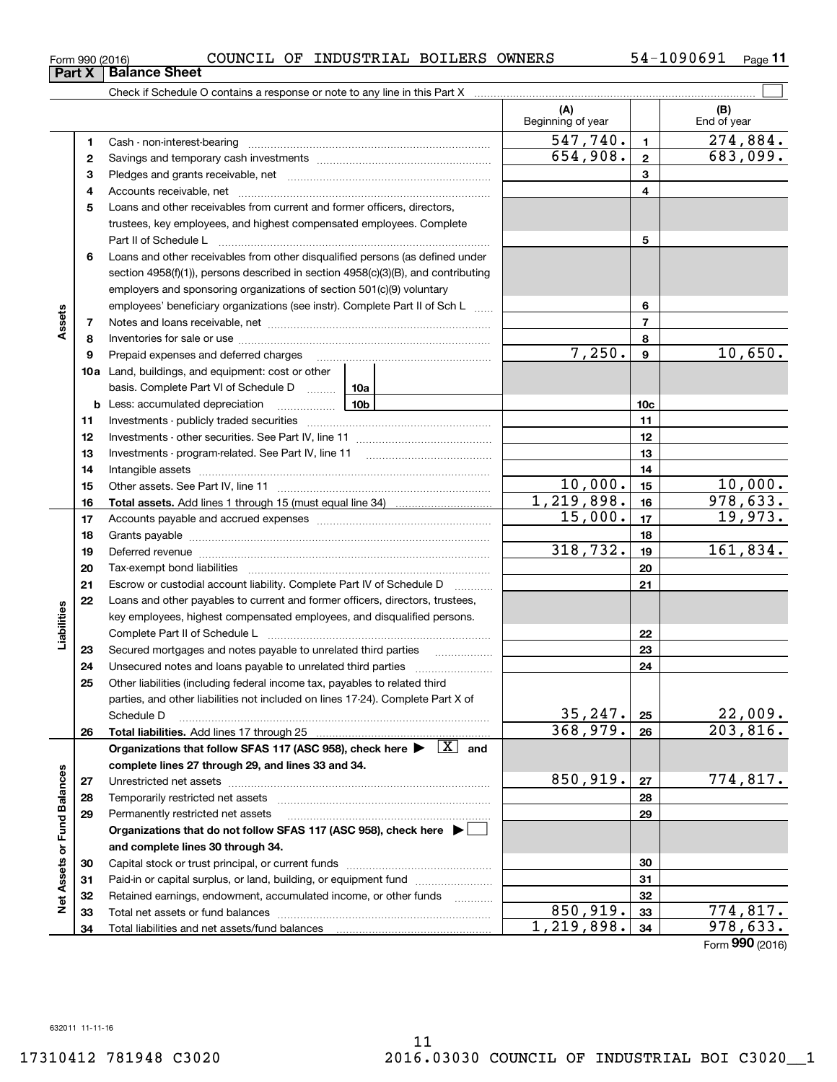Form (2016) **990**

|                             |          |                                                                                                                              | (A)<br>Beginning of year |                 | (B)<br>End of year     |
|-----------------------------|----------|------------------------------------------------------------------------------------------------------------------------------|--------------------------|-----------------|------------------------|
|                             | 1        |                                                                                                                              | 547,740.                 | $\mathbf{1}$    | 274,884.               |
|                             | 2        |                                                                                                                              | 654,908.                 | $\mathbf{2}$    | 683,099.               |
|                             | з        |                                                                                                                              |                          | 3               |                        |
|                             | 4        |                                                                                                                              |                          | 4               |                        |
|                             | 5        | Loans and other receivables from current and former officers, directors,                                                     |                          |                 |                        |
|                             |          | trustees, key employees, and highest compensated employees. Complete                                                         |                          |                 |                        |
|                             |          |                                                                                                                              |                          | 5               |                        |
|                             | 6        | Loans and other receivables from other disqualified persons (as defined under                                                |                          |                 |                        |
|                             |          | section 4958(f)(1)), persons described in section 4958(c)(3)(B), and contributing                                            |                          |                 |                        |
|                             |          | employers and sponsoring organizations of section 501(c)(9) voluntary                                                        |                          |                 |                        |
|                             |          | employees' beneficiary organizations (see instr). Complete Part II of Sch L                                                  |                          | 6               |                        |
| Assets                      | 7        |                                                                                                                              |                          | $\overline{7}$  |                        |
|                             | 8        |                                                                                                                              |                          | 8               |                        |
|                             | 9        | Prepaid expenses and deferred charges                                                                                        | 7,250.                   | 9               | 10,650.                |
|                             |          | <b>10a</b> Land, buildings, and equipment: cost or other                                                                     |                          |                 |                        |
|                             |          | basis. Complete Part VI of Schedule D  10a                                                                                   |                          |                 |                        |
|                             |          | <u>10</u> b<br><b>b</b> Less: accumulated depreciation                                                                       |                          | 10 <sub>c</sub> |                        |
|                             | 11       |                                                                                                                              |                          | 11              |                        |
|                             | 12       |                                                                                                                              |                          | 12              |                        |
|                             | 13       |                                                                                                                              |                          | 13              |                        |
|                             | 14       |                                                                                                                              |                          | 14              |                        |
|                             | 15       |                                                                                                                              | 10,000.                  | 15              | 10,000.                |
|                             | 16       |                                                                                                                              | 1, 219, 898.             | 16              | 978, 633.              |
|                             | 17       |                                                                                                                              | 15,000.                  | 17              | 19,973.                |
|                             | 18       |                                                                                                                              |                          | 18              |                        |
|                             | 19       |                                                                                                                              | 318,732.                 | 19              | 161,834.               |
|                             | 20       |                                                                                                                              |                          | 20              |                        |
|                             | 21       | Escrow or custodial account liability. Complete Part IV of Schedule D<br>$\overline{\phantom{a}}$                            |                          | 21              |                        |
|                             | 22       | Loans and other payables to current and former officers, directors, trustees,                                                |                          |                 |                        |
|                             |          | key employees, highest compensated employees, and disqualified persons.                                                      |                          |                 |                        |
| Liabilities                 |          |                                                                                                                              |                          | 22              |                        |
|                             | 23       | Secured mortgages and notes payable to unrelated third parties                                                               |                          | 23              |                        |
|                             | 24       |                                                                                                                              |                          | 24              |                        |
|                             | 25       | Other liabilities (including federal income tax, payables to related third                                                   |                          |                 |                        |
|                             |          | parties, and other liabilities not included on lines 17-24). Complete Part X of                                              |                          |                 |                        |
|                             |          | Schedule D                                                                                                                   | 35, 247.<br>368,979.     | 25              | 22,009.<br>203,816.    |
|                             | 26       |                                                                                                                              |                          | 26              |                        |
|                             |          | Organizations that follow SFAS 117 (ASC 958), check here $\blacktriangleright \begin{array}{c} \boxed{X} \\ \end{array}$ and |                          |                 |                        |
|                             |          | complete lines 27 through 29, and lines 33 and 34.                                                                           | 850,919.                 | 27              | 774,817.               |
|                             | 27       |                                                                                                                              |                          | 28              |                        |
|                             | 28<br>29 | Permanently restricted net assets                                                                                            |                          | 29              |                        |
|                             |          | Organizations that do not follow SFAS 117 (ASC 958), check here ▶ │                                                          |                          |                 |                        |
|                             |          | and complete lines 30 through 34.                                                                                            |                          |                 |                        |
| Net Assets or Fund Balances | 30       |                                                                                                                              |                          | 30              |                        |
|                             | 31       | Paid-in or capital surplus, or land, building, or equipment fund                                                             |                          | 31              |                        |
|                             | 32       | Retained earnings, endowment, accumulated income, or other funds                                                             |                          | 32              |                        |
|                             | 33       |                                                                                                                              | 850,919.                 | 33              | 774,817.               |
|                             | 34       |                                                                                                                              | $\overline{1,219,898}$ . | 34              | $\overline{978,633}$ . |

**Part X Balance Sheet**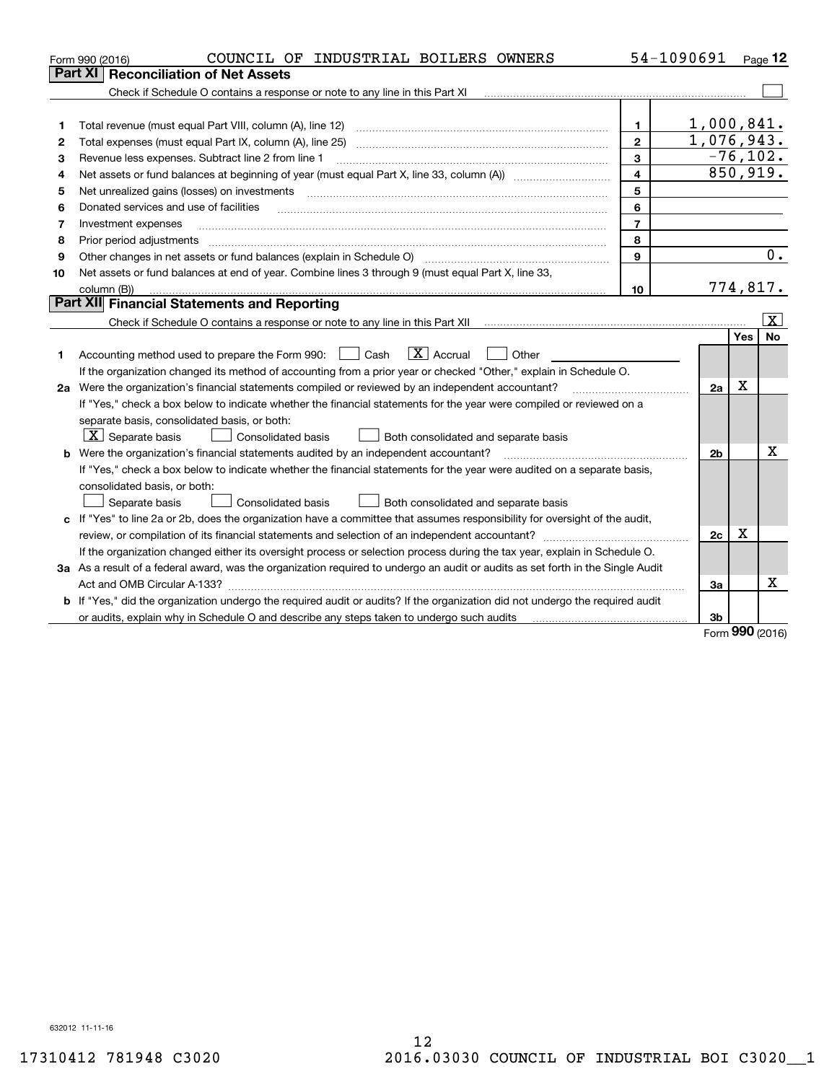|    | COUNCIL OF INDUSTRIAL BOILERS OWNERS<br>Form 990 (2016)                                                                                                                  |                | 54-1090691     |             | Page 12 |
|----|--------------------------------------------------------------------------------------------------------------------------------------------------------------------------|----------------|----------------|-------------|---------|
|    | <b>Reconciliation of Net Assets</b><br>Part XI                                                                                                                           |                |                |             |         |
|    | Check if Schedule O contains a response or note to any line in this Part XI                                                                                              |                |                |             |         |
|    |                                                                                                                                                                          |                |                |             |         |
| 1  | Total revenue (must equal Part VIII, column (A), line 12)                                                                                                                | 1              | 1,000,841.     |             |         |
| 2  |                                                                                                                                                                          | $\mathbf{2}$   | 1,076,943.     |             |         |
| З  | Revenue less expenses. Subtract line 2 from line 1                                                                                                                       | 3              | $-76, 102.$    |             |         |
| 4  |                                                                                                                                                                          | $\overline{4}$ | 850,919.       |             |         |
| 5  | Net unrealized gains (losses) on investments                                                                                                                             | 5              |                |             |         |
| 6  | Donated services and use of facilities                                                                                                                                   | 6              |                |             |         |
| 7  | Investment expenses                                                                                                                                                      | $\overline{7}$ |                |             |         |
| 8  | Prior period adjustments                                                                                                                                                 | 8              |                |             |         |
| 9  | Other changes in net assets or fund balances (explain in Schedule O)                                                                                                     | 9              |                |             | 0.      |
| 10 | Net assets or fund balances at end of year. Combine lines 3 through 9 (must equal Part X, line 33,                                                                       |                |                |             |         |
|    | column (B))                                                                                                                                                              | 10             | 774,817.       |             |         |
|    | Part XII Financial Statements and Reporting                                                                                                                              |                |                |             |         |
|    | Check if Schedule O contains a response or note to any line in this Part XII [11] [11] [11] Check if Schedule O contains a response or note to any line in this Part XII |                |                |             | ΙX.     |
|    |                                                                                                                                                                          |                |                | Yes         | No      |
| 1. | $\boxed{\mathbf{X}}$ Accrual<br>Accounting method used to prepare the Form 990: <u>June</u> Cash<br>Other<br>$\mathbf{1}$                                                |                |                |             |         |
|    | If the organization changed its method of accounting from a prior year or checked "Other," explain in Schedule O.                                                        |                |                |             |         |
|    | 2a Were the organization's financial statements compiled or reviewed by an independent accountant?                                                                       |                | 2a             | X           |         |
|    | If "Yes," check a box below to indicate whether the financial statements for the year were compiled or reviewed on a                                                     |                |                |             |         |
|    | separate basis, consolidated basis, or both:                                                                                                                             |                |                |             |         |
|    | $\lfloor x \rfloor$ Separate basis<br><b>Consolidated basis</b><br>Both consolidated and separate basis                                                                  |                |                |             |         |
|    | <b>b</b> Were the organization's financial statements audited by an independent accountant?                                                                              |                | 2 <sub>b</sub> |             | х       |
|    | If "Yes," check a box below to indicate whether the financial statements for the year were audited on a separate basis,                                                  |                |                |             |         |
|    | consolidated basis, or both:                                                                                                                                             |                |                |             |         |
|    | Consolidated basis<br>Separate basis<br>Both consolidated and separate basis                                                                                             |                |                |             |         |
|    | c If "Yes" to line 2a or 2b, does the organization have a committee that assumes responsibility for oversight of the audit,                                              |                |                |             |         |
|    |                                                                                                                                                                          |                | 2c             | $\mathbf X$ |         |
|    | If the organization changed either its oversight process or selection process during the tax year, explain in Schedule O.                                                |                |                |             |         |
|    | 3a As a result of a federal award, was the organization required to undergo an audit or audits as set forth in the Single Audit                                          |                |                |             |         |
|    |                                                                                                                                                                          |                | 3a             |             | x       |
|    | <b>b</b> If "Yes," did the organization undergo the required audit or audits? If the organization did not undergo the required audit                                     |                |                |             |         |
|    | or audits, explain why in Schedule O and describe any steps taken to undergo such audits matures and the matur                                                           |                | 3b             | $000 - 1$   |         |
|    |                                                                                                                                                                          |                |                |             |         |

Form (2016) **990**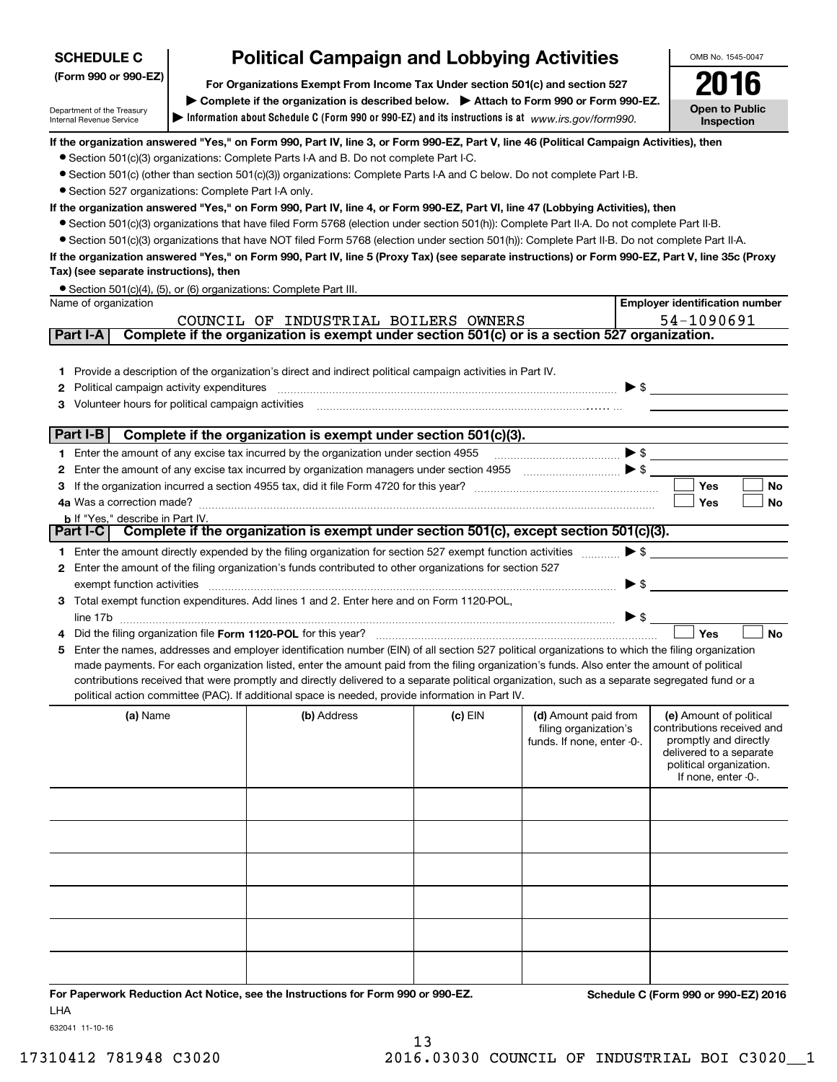| <b>SCHEDULE C</b>                                      | <b>Political Campaign and Lobbying Activities</b>                                                                                                                                                                                                                                                                                                                                                                                                                      | OMB No. 1545-0047                                                                                                                                                                                                                                                                             |           |                                                                             |                          |                                                                                                                                                             |  |  |  |
|--------------------------------------------------------|------------------------------------------------------------------------------------------------------------------------------------------------------------------------------------------------------------------------------------------------------------------------------------------------------------------------------------------------------------------------------------------------------------------------------------------------------------------------|-----------------------------------------------------------------------------------------------------------------------------------------------------------------------------------------------------------------------------------------------------------------------------------------------|-----------|-----------------------------------------------------------------------------|--------------------------|-------------------------------------------------------------------------------------------------------------------------------------------------------------|--|--|--|
| (Form 990 or 990-EZ)                                   |                                                                                                                                                                                                                                                                                                                                                                                                                                                                        | For Organizations Exempt From Income Tax Under section 501(c) and section 527                                                                                                                                                                                                                 |           |                                                                             |                          |                                                                                                                                                             |  |  |  |
|                                                        |                                                                                                                                                                                                                                                                                                                                                                                                                                                                        | Complete if the organization is described below. Attach to Form 990 or Form 990-EZ.                                                                                                                                                                                                           |           |                                                                             |                          |                                                                                                                                                             |  |  |  |
| Department of the Treasury<br>Internal Revenue Service |                                                                                                                                                                                                                                                                                                                                                                                                                                                                        | Information about Schedule C (Form 990 or 990-EZ) and its instructions is at www.irs.gov/form990.                                                                                                                                                                                             |           |                                                                             |                          | Open to Public<br>Inspection                                                                                                                                |  |  |  |
|                                                        |                                                                                                                                                                                                                                                                                                                                                                                                                                                                        | If the organization answered "Yes," on Form 990, Part IV, line 3, or Form 990-EZ, Part V, line 46 (Political Campaign Activities), then                                                                                                                                                       |           |                                                                             |                          |                                                                                                                                                             |  |  |  |
|                                                        |                                                                                                                                                                                                                                                                                                                                                                                                                                                                        | • Section 501(c)(3) organizations: Complete Parts I-A and B. Do not complete Part I-C.                                                                                                                                                                                                        |           |                                                                             |                          |                                                                                                                                                             |  |  |  |
|                                                        |                                                                                                                                                                                                                                                                                                                                                                                                                                                                        | • Section 501(c) (other than section 501(c)(3)) organizations: Complete Parts I-A and C below. Do not complete Part I-B.                                                                                                                                                                      |           |                                                                             |                          |                                                                                                                                                             |  |  |  |
| • Section 527 organizations: Complete Part I-A only.   |                                                                                                                                                                                                                                                                                                                                                                                                                                                                        |                                                                                                                                                                                                                                                                                               |           |                                                                             |                          |                                                                                                                                                             |  |  |  |
|                                                        |                                                                                                                                                                                                                                                                                                                                                                                                                                                                        | If the organization answered "Yes," on Form 990, Part IV, line 4, or Form 990-EZ, Part VI, line 47 (Lobbying Activities), then                                                                                                                                                                |           |                                                                             |                          |                                                                                                                                                             |  |  |  |
|                                                        |                                                                                                                                                                                                                                                                                                                                                                                                                                                                        | • Section 501(c)(3) organizations that have filed Form 5768 (election under section 501(h)): Complete Part II-A. Do not complete Part II-B.                                                                                                                                                   |           |                                                                             |                          |                                                                                                                                                             |  |  |  |
|                                                        |                                                                                                                                                                                                                                                                                                                                                                                                                                                                        | • Section 501(c)(3) organizations that have NOT filed Form 5768 (election under section 501(h)): Complete Part II-B. Do not complete Part II-A.                                                                                                                                               |           |                                                                             |                          |                                                                                                                                                             |  |  |  |
| Tax) (see separate instructions), then                 |                                                                                                                                                                                                                                                                                                                                                                                                                                                                        | If the organization answered "Yes," on Form 990, Part IV, line 5 (Proxy Tax) (see separate instructions) or Form 990-EZ, Part V, line 35c (Proxy                                                                                                                                              |           |                                                                             |                          |                                                                                                                                                             |  |  |  |
| Name of organization                                   |                                                                                                                                                                                                                                                                                                                                                                                                                                                                        | • Section 501(c)(4), (5), or (6) organizations: Complete Part III.                                                                                                                                                                                                                            |           |                                                                             |                          | <b>Employer identification number</b>                                                                                                                       |  |  |  |
|                                                        |                                                                                                                                                                                                                                                                                                                                                                                                                                                                        | COUNCIL OF INDUSTRIAL BOILERS OWNERS                                                                                                                                                                                                                                                          |           |                                                                             |                          | 54-1090691                                                                                                                                                  |  |  |  |
| Part I-A                                               |                                                                                                                                                                                                                                                                                                                                                                                                                                                                        | Complete if the organization is exempt under section 501(c) or is a section 527 organization.                                                                                                                                                                                                 |           |                                                                             |                          |                                                                                                                                                             |  |  |  |
|                                                        |                                                                                                                                                                                                                                                                                                                                                                                                                                                                        |                                                                                                                                                                                                                                                                                               |           |                                                                             |                          |                                                                                                                                                             |  |  |  |
|                                                        |                                                                                                                                                                                                                                                                                                                                                                                                                                                                        | 1 Provide a description of the organization's direct and indirect political campaign activities in Part IV.                                                                                                                                                                                   |           |                                                                             |                          |                                                                                                                                                             |  |  |  |
| Political campaign activity expenditures<br>2          |                                                                                                                                                                                                                                                                                                                                                                                                                                                                        |                                                                                                                                                                                                                                                                                               |           |                                                                             | $\triangleright$ \$      |                                                                                                                                                             |  |  |  |
| Volunteer hours for political campaign activities<br>3 |                                                                                                                                                                                                                                                                                                                                                                                                                                                                        |                                                                                                                                                                                                                                                                                               |           |                                                                             |                          |                                                                                                                                                             |  |  |  |
|                                                        |                                                                                                                                                                                                                                                                                                                                                                                                                                                                        |                                                                                                                                                                                                                                                                                               |           |                                                                             |                          |                                                                                                                                                             |  |  |  |
| Part I-B                                               |                                                                                                                                                                                                                                                                                                                                                                                                                                                                        | Complete if the organization is exempt under section 501(c)(3).                                                                                                                                                                                                                               |           |                                                                             |                          |                                                                                                                                                             |  |  |  |
|                                                        |                                                                                                                                                                                                                                                                                                                                                                                                                                                                        | 1 Enter the amount of any excise tax incurred by the organization under section 4955                                                                                                                                                                                                          |           | $\bullet \mathsf{s} \_\_$                                                   |                          |                                                                                                                                                             |  |  |  |
| 2                                                      | $\begin{picture}(20,10) \put(0,0){\vector(1,0){10}} \put(15,0){\vector(1,0){10}} \put(15,0){\vector(1,0){10}} \put(15,0){\vector(1,0){10}} \put(15,0){\vector(1,0){10}} \put(15,0){\vector(1,0){10}} \put(15,0){\vector(1,0){10}} \put(15,0){\vector(1,0){10}} \put(15,0){\vector(1,0){10}} \put(15,0){\vector(1,0){10}} \put(15,0){\vector(1,0){10}} \put(15,0){\vector(1$<br>Enter the amount of any excise tax incurred by organization managers under section 4955 |                                                                                                                                                                                                                                                                                               |           |                                                                             |                          |                                                                                                                                                             |  |  |  |
| з                                                      | Yes<br><b>No</b>                                                                                                                                                                                                                                                                                                                                                                                                                                                       |                                                                                                                                                                                                                                                                                               |           |                                                                             |                          |                                                                                                                                                             |  |  |  |
|                                                        |                                                                                                                                                                                                                                                                                                                                                                                                                                                                        |                                                                                                                                                                                                                                                                                               |           |                                                                             |                          | Yes<br>No                                                                                                                                                   |  |  |  |
| <b>b</b> If "Yes," describe in Part IV.<br>Part I-C    |                                                                                                                                                                                                                                                                                                                                                                                                                                                                        | Complete if the organization is exempt under section 501(c), except section 501(c)(3).                                                                                                                                                                                                        |           |                                                                             |                          |                                                                                                                                                             |  |  |  |
|                                                        |                                                                                                                                                                                                                                                                                                                                                                                                                                                                        |                                                                                                                                                                                                                                                                                               |           |                                                                             |                          |                                                                                                                                                             |  |  |  |
|                                                        |                                                                                                                                                                                                                                                                                                                                                                                                                                                                        | 1 Enter the amount directly expended by the filing organization for section 527 exempt function activities                                                                                                                                                                                    |           |                                                                             | $\blacktriangleright$ \$ |                                                                                                                                                             |  |  |  |
| 2<br>exempt function activities                        |                                                                                                                                                                                                                                                                                                                                                                                                                                                                        | Enter the amount of the filing organization's funds contributed to other organizations for section 527                                                                                                                                                                                        |           |                                                                             | $\blacktriangleright$ \$ |                                                                                                                                                             |  |  |  |
| 3.                                                     |                                                                                                                                                                                                                                                                                                                                                                                                                                                                        | Total exempt function expenditures. Add lines 1 and 2. Enter here and on Form 1120-POL,                                                                                                                                                                                                       |           |                                                                             |                          |                                                                                                                                                             |  |  |  |
|                                                        |                                                                                                                                                                                                                                                                                                                                                                                                                                                                        |                                                                                                                                                                                                                                                                                               |           |                                                                             |                          |                                                                                                                                                             |  |  |  |
|                                                        |                                                                                                                                                                                                                                                                                                                                                                                                                                                                        | Did the filing organization file Form 1120-POL for this year?                                                                                                                                                                                                                                 |           |                                                                             |                          | Yes<br><b>No</b>                                                                                                                                            |  |  |  |
| 5                                                      |                                                                                                                                                                                                                                                                                                                                                                                                                                                                        | Enter the names, addresses and employer identification number (EIN) of all section 527 political organizations to which the filing organization                                                                                                                                               |           |                                                                             |                          |                                                                                                                                                             |  |  |  |
|                                                        |                                                                                                                                                                                                                                                                                                                                                                                                                                                                        | made payments. For each organization listed, enter the amount paid from the filing organization's funds. Also enter the amount of political<br>contributions received that were promptly and directly delivered to a separate political organization, such as a separate segregated fund or a |           |                                                                             |                          |                                                                                                                                                             |  |  |  |
|                                                        |                                                                                                                                                                                                                                                                                                                                                                                                                                                                        | political action committee (PAC). If additional space is needed, provide information in Part IV.                                                                                                                                                                                              |           |                                                                             |                          |                                                                                                                                                             |  |  |  |
| (a) Name                                               |                                                                                                                                                                                                                                                                                                                                                                                                                                                                        | (b) Address                                                                                                                                                                                                                                                                                   | $(c)$ EIN | (d) Amount paid from<br>filing organization's<br>funds. If none, enter -0-. |                          | (e) Amount of political<br>contributions received and<br>promptly and directly<br>delivered to a separate<br>political organization.<br>If none, enter -0-. |  |  |  |
|                                                        |                                                                                                                                                                                                                                                                                                                                                                                                                                                                        |                                                                                                                                                                                                                                                                                               |           |                                                                             |                          |                                                                                                                                                             |  |  |  |
|                                                        |                                                                                                                                                                                                                                                                                                                                                                                                                                                                        |                                                                                                                                                                                                                                                                                               |           |                                                                             |                          |                                                                                                                                                             |  |  |  |
|                                                        |                                                                                                                                                                                                                                                                                                                                                                                                                                                                        |                                                                                                                                                                                                                                                                                               |           |                                                                             |                          |                                                                                                                                                             |  |  |  |
|                                                        |                                                                                                                                                                                                                                                                                                                                                                                                                                                                        |                                                                                                                                                                                                                                                                                               |           |                                                                             |                          |                                                                                                                                                             |  |  |  |
|                                                        |                                                                                                                                                                                                                                                                                                                                                                                                                                                                        |                                                                                                                                                                                                                                                                                               |           |                                                                             |                          |                                                                                                                                                             |  |  |  |
|                                                        |                                                                                                                                                                                                                                                                                                                                                                                                                                                                        |                                                                                                                                                                                                                                                                                               |           |                                                                             |                          |                                                                                                                                                             |  |  |  |
|                                                        |                                                                                                                                                                                                                                                                                                                                                                                                                                                                        |                                                                                                                                                                                                                                                                                               |           |                                                                             |                          |                                                                                                                                                             |  |  |  |

**For Paperwork Reduction Act Notice, see the Instructions for Form 990 or 990-EZ. Schedule C (Form 990 or 990-EZ) 2016** LHA

632041 11-10-16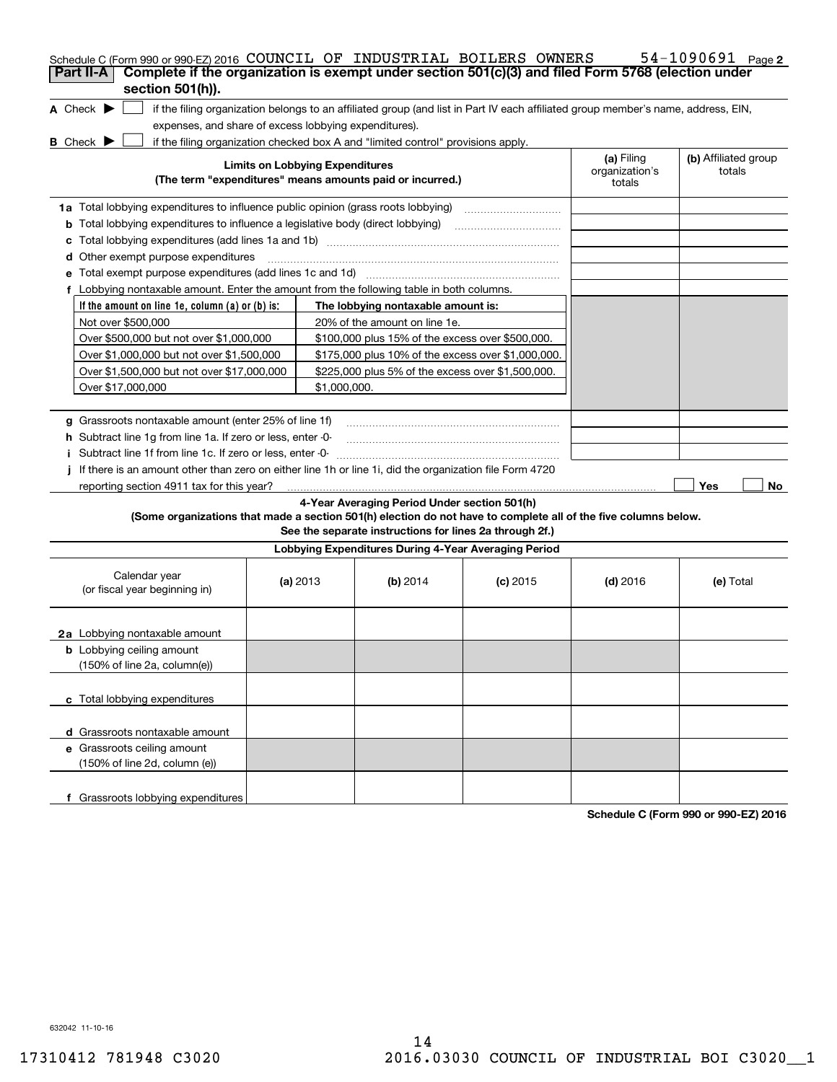| Schedule C (Form 990 or 990-EZ) 2016 COUNCIL OF INDUSTRIAL BOILERS OWNERS<br>Complete if the organization is exempt under section 501(c)(3) and filed Form 5768 (election under<br>Part II-A                                                    |                                        |                                                                                                         |            |                                        | $54 - 1090691$ Page 2          |  |  |
|-------------------------------------------------------------------------------------------------------------------------------------------------------------------------------------------------------------------------------------------------|----------------------------------------|---------------------------------------------------------------------------------------------------------|------------|----------------------------------------|--------------------------------|--|--|
| section 501(h)).<br>A Check $\blacktriangleright$<br>if the filing organization belongs to an affiliated group (and list in Part IV each affiliated group member's name, address, EIN,<br>expenses, and share of excess lobbying expenditures). |                                        |                                                                                                         |            |                                        |                                |  |  |
| <b>B</b> Check $\blacktriangleright$<br>if the filing organization checked box A and "limited control" provisions apply.                                                                                                                        |                                        |                                                                                                         |            |                                        |                                |  |  |
| (The term "expenditures" means amounts paid or incurred.)                                                                                                                                                                                       | <b>Limits on Lobbying Expenditures</b> |                                                                                                         |            | (a) Filing<br>organization's<br>totals | (b) Affiliated group<br>totals |  |  |
| 1a Total lobbying expenditures to influence public opinion (grass roots lobbying)                                                                                                                                                               |                                        |                                                                                                         |            |                                        |                                |  |  |
| <b>b</b> Total lobbying expenditures to influence a legislative body (direct lobbying)                                                                                                                                                          |                                        |                                                                                                         |            |                                        |                                |  |  |
|                                                                                                                                                                                                                                                 | с                                      |                                                                                                         |            |                                        |                                |  |  |
| Other exempt purpose expenditures<br>d                                                                                                                                                                                                          |                                        |                                                                                                         |            |                                        |                                |  |  |
|                                                                                                                                                                                                                                                 |                                        |                                                                                                         |            |                                        |                                |  |  |
| f Lobbying nontaxable amount. Enter the amount from the following table in both columns.                                                                                                                                                        |                                        |                                                                                                         |            |                                        |                                |  |  |
| If the amount on line 1e, column (a) or (b) is:                                                                                                                                                                                                 |                                        | The lobbying nontaxable amount is:                                                                      |            |                                        |                                |  |  |
| Not over \$500,000                                                                                                                                                                                                                              |                                        | 20% of the amount on line 1e.                                                                           |            |                                        |                                |  |  |
| Over \$500,000 but not over \$1,000,000                                                                                                                                                                                                         |                                        | \$100,000 plus 15% of the excess over \$500,000.                                                        |            |                                        |                                |  |  |
| Over \$1,000,000 but not over \$1,500,000                                                                                                                                                                                                       |                                        | \$175,000 plus 10% of the excess over \$1,000,000.                                                      |            |                                        |                                |  |  |
| Over \$1,500,000 but not over \$17,000,000                                                                                                                                                                                                      |                                        | \$225,000 plus 5% of the excess over \$1,500,000.                                                       |            |                                        |                                |  |  |
| Over \$17,000,000                                                                                                                                                                                                                               | \$1,000,000.                           |                                                                                                         |            |                                        |                                |  |  |
|                                                                                                                                                                                                                                                 |                                        |                                                                                                         |            |                                        |                                |  |  |
| g Grassroots nontaxable amount (enter 25% of line 1f)                                                                                                                                                                                           |                                        |                                                                                                         |            |                                        |                                |  |  |
| h Subtract line 1q from line 1a. If zero or less, enter -0-                                                                                                                                                                                     |                                        |                                                                                                         |            |                                        |                                |  |  |
| i Subtract line 1f from line 1c. If zero or less, enter 0                                                                                                                                                                                       |                                        |                                                                                                         |            |                                        |                                |  |  |
| If there is an amount other than zero on either line 1h or line 1i, did the organization file Form 4720                                                                                                                                         |                                        |                                                                                                         |            |                                        |                                |  |  |
| reporting section 4911 tax for this year?                                                                                                                                                                                                       |                                        |                                                                                                         |            |                                        | Yes<br>No                      |  |  |
| (Some organizations that made a section 501(h) election do not have to complete all of the five columns below.                                                                                                                                  |                                        | 4-Year Averaging Period Under section 501(h)<br>See the separate instructions for lines 2a through 2f.) |            |                                        |                                |  |  |
|                                                                                                                                                                                                                                                 |                                        | Lobbying Expenditures During 4-Year Averaging Period                                                    |            |                                        |                                |  |  |
| Calendar year<br>(or fiscal year beginning in)                                                                                                                                                                                                  | (a) $2013$                             | (b) $2014$                                                                                              | $(c)$ 2015 | $(d)$ 2016                             | (e) Total                      |  |  |
| 2a Lobbying nontaxable amount                                                                                                                                                                                                                   |                                        |                                                                                                         |            |                                        |                                |  |  |
| <b>b</b> Lobbying ceiling amount<br>(150% of line 2a, column(e))                                                                                                                                                                                |                                        |                                                                                                         |            |                                        |                                |  |  |
| c Total lobbying expenditures                                                                                                                                                                                                                   |                                        |                                                                                                         |            |                                        |                                |  |  |
| d Grassroots nontaxable amount                                                                                                                                                                                                                  |                                        |                                                                                                         |            |                                        |                                |  |  |
| e Grassroots ceiling amount<br>(150% of line 2d, column (e))                                                                                                                                                                                    |                                        |                                                                                                         |            |                                        |                                |  |  |
| f Grassroots lobbying expenditures                                                                                                                                                                                                              |                                        |                                                                                                         |            |                                        |                                |  |  |

**Schedule C (Form 990 or 990-EZ) 2016**

632042 11-10-16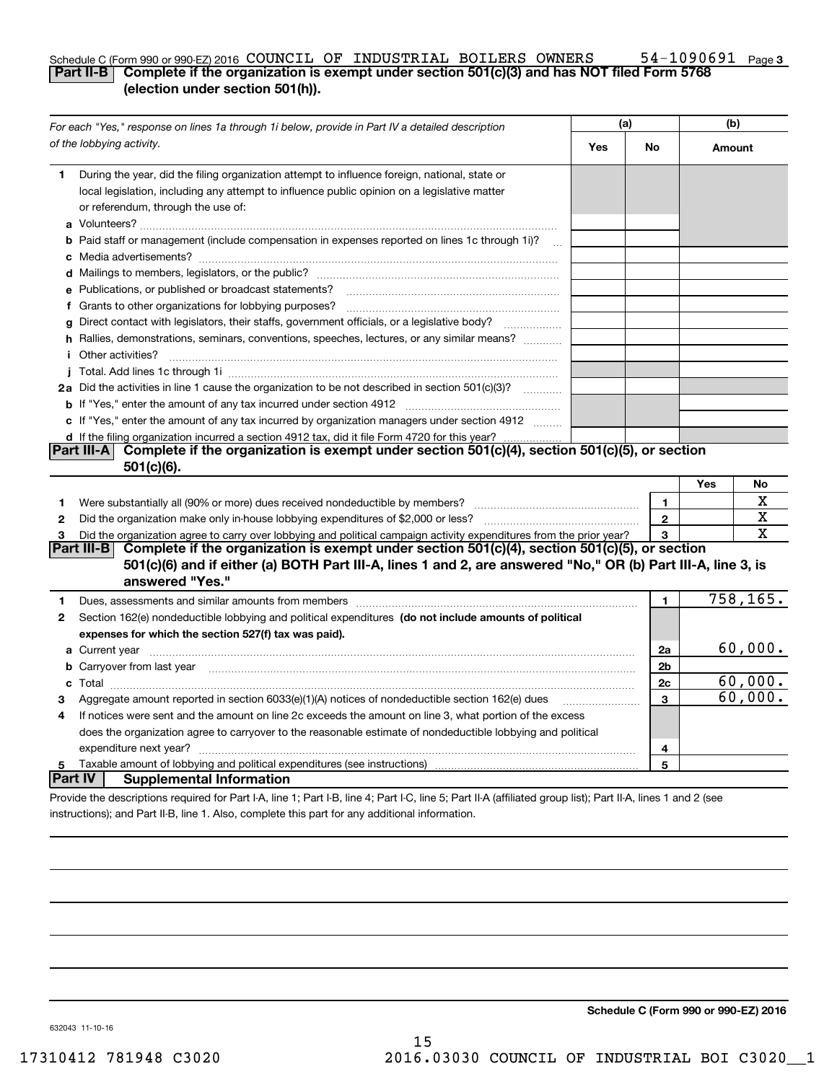### **3** Schedule C (Form 990 or 990-EZ) 2016 <code>COUNCIL OF INDUSTRIAL BOILERS OWNERS 54-1090691 Page</code> **Part II-B Complete if the organization is exempt under section 501(c)(3) and has NOT filed Form 5768 (election under section 501(h)).**

|              | For each "Yes," response on lines 1a through 1i below, provide in Part IV a detailed description                                                                                                                                                 | (a) |                | (b)    |           |
|--------------|--------------------------------------------------------------------------------------------------------------------------------------------------------------------------------------------------------------------------------------------------|-----|----------------|--------|-----------|
|              | of the lobbying activity.                                                                                                                                                                                                                        | Yes | No             | Amount |           |
| 1            | During the year, did the filing organization attempt to influence foreign, national, state or<br>local legislation, including any attempt to influence public opinion on a legislative matter<br>or referendum, through the use of:              |     |                |        |           |
|              | <b>b</b> Paid staff or management (include compensation in expenses reported on lines 1c through 1i)?                                                                                                                                            |     |                |        |           |
|              |                                                                                                                                                                                                                                                  |     |                |        |           |
|              | e Publications, or published or broadcast statements?                                                                                                                                                                                            |     |                |        |           |
|              |                                                                                                                                                                                                                                                  |     |                |        |           |
|              | g Direct contact with legislators, their staffs, government officials, or a legislative body?                                                                                                                                                    |     |                |        |           |
|              | h Rallies, demonstrations, seminars, conventions, speeches, lectures, or any similar means?<br><i>i</i> Other activities?                                                                                                                        |     |                |        |           |
|              |                                                                                                                                                                                                                                                  |     |                |        |           |
|              | 2a Did the activities in line 1 cause the organization to be not described in section 501(c)(3)?                                                                                                                                                 |     |                |        |           |
|              |                                                                                                                                                                                                                                                  |     |                |        |           |
|              | c If "Yes," enter the amount of any tax incurred by organization managers under section 4912                                                                                                                                                     |     |                |        |           |
|              | d If the filing organization incurred a section 4912 tax, did it file Form 4720 for this year?                                                                                                                                                   |     |                |        |           |
|              | Complete if the organization is exempt under section 501(c)(4), section 501(c)(5), or section<br><b>Part III-A</b><br>$501(c)(6)$ .                                                                                                              |     |                |        |           |
|              |                                                                                                                                                                                                                                                  |     |                | Yes    | No        |
| 1            |                                                                                                                                                                                                                                                  |     | 1              |        | х         |
| 2            |                                                                                                                                                                                                                                                  |     | $\mathbf{2}$   |        | X         |
| 3            | Did the organization agree to carry over lobbying and political campaign activity expenditures from the prior year?                                                                                                                              |     | 3              |        | х         |
|              | Complete if the organization is exempt under section 501(c)(4), section 501(c)(5), or section<br> Part III-B <br>501(c)(6) and if either (a) BOTH Part III-A, lines 1 and 2, are answered "No," OR (b) Part III-A, line 3, is<br>answered "Yes." |     |                |        |           |
| 1            | Dues, assessments and similar amounts from members [11] matter continuum matter assessments and similar amounts from members [11] matter continuum matter and similar amounts from members [11] matter and the state of the st                   |     | $\mathbf{1}$   |        | 758, 165. |
| $\mathbf{2}$ | Section 162(e) nondeductible lobbying and political expenditures (do not include amounts of political                                                                                                                                            |     |                |        |           |
|              | expenses for which the section 527(f) tax was paid).                                                                                                                                                                                             |     |                |        |           |
|              |                                                                                                                                                                                                                                                  |     | 2a             |        | 60,000.   |
|              | <b>b</b> Carryover from last year <b>contained to the contract of the contract of Carryover from last year contained to the contract of the contract of Carryover from last year</b>                                                             |     | 2 <sub>b</sub> |        |           |
|              |                                                                                                                                                                                                                                                  |     | 2c             |        | 60,000.   |
| з            | Aggregate amount reported in section 6033(e)(1)(A) notices of nondeductible section 162(e) dues                                                                                                                                                  |     | 3              |        | 60,000.   |
| 4            | If notices were sent and the amount on line 2c exceeds the amount on line 3, what portion of the excess                                                                                                                                          |     |                |        |           |
|              | does the organization agree to carryover to the reasonable estimate of nondeductible lobbying and political                                                                                                                                      |     |                |        |           |
|              |                                                                                                                                                                                                                                                  |     | 4              |        |           |
| 5            |                                                                                                                                                                                                                                                  |     | 5              |        |           |
| Part IV      | <b>Supplemental Information</b>                                                                                                                                                                                                                  |     |                |        |           |
|              | Provide the descriptions required for Part I-A, line 1; Part I-B, line 4; Part I-C, line 5; Part II-A (affiliated group list); Part II-A, lines 1 and 2 (see                                                                                     |     |                |        |           |
|              | instructions); and Part II-B, line 1. Also, complete this part for any additional information.                                                                                                                                                   |     |                |        |           |

**Schedule C (Form 990 or 990-EZ) 2016**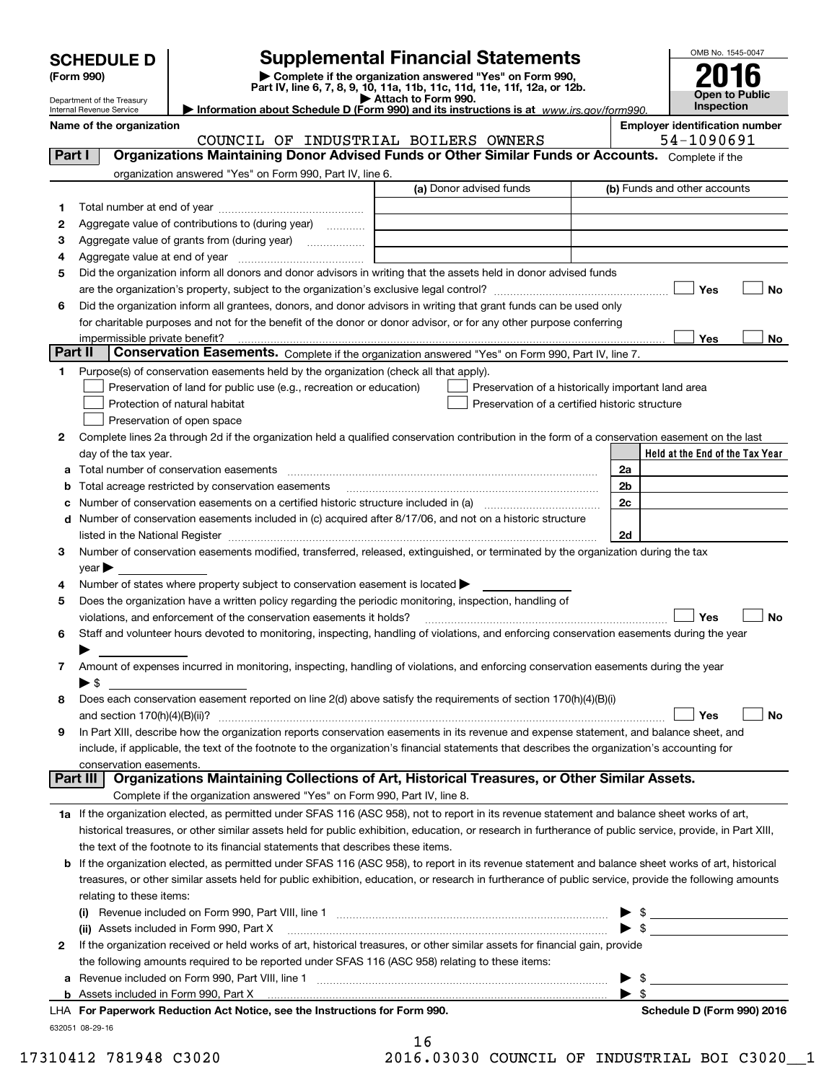| <b>Supplemental Financial Statements</b><br><b>SCHEDULE D</b><br>Complete if the organization answered "Yes" on Form 990,<br>(Form 990)<br>Part IV, line 6, 7, 8, 9, 10, 11a, 11b, 11c, 11d, 11e, 11f, 12a, or 12b.<br>Attach to Form 990.<br>Department of the Treasury<br>Information about Schedule D (Form 990) and its instructions is at www.irs.gov/form990.<br>Internal Revenue Service |                                |                                                                                                                    | OMB No. 1545-0047<br><b>Open to Public</b><br>Inspection |                                                    |                                                     |           |
|-------------------------------------------------------------------------------------------------------------------------------------------------------------------------------------------------------------------------------------------------------------------------------------------------------------------------------------------------------------------------------------------------|--------------------------------|--------------------------------------------------------------------------------------------------------------------|----------------------------------------------------------|----------------------------------------------------|-----------------------------------------------------|-----------|
|                                                                                                                                                                                                                                                                                                                                                                                                 | Name of the organization       | COUNCIL OF INDUSTRIAL BOILERS OWNERS                                                                               |                                                          |                                                    | <b>Employer identification number</b><br>54-1090691 |           |
| Part I                                                                                                                                                                                                                                                                                                                                                                                          |                                | Organizations Maintaining Donor Advised Funds or Other Similar Funds or Accounts. Complete if the                  |                                                          |                                                    |                                                     |           |
|                                                                                                                                                                                                                                                                                                                                                                                                 |                                | organization answered "Yes" on Form 990, Part IV, line 6.                                                          |                                                          |                                                    |                                                     |           |
|                                                                                                                                                                                                                                                                                                                                                                                                 |                                |                                                                                                                    | (a) Donor advised funds                                  |                                                    | (b) Funds and other accounts                        |           |
|                                                                                                                                                                                                                                                                                                                                                                                                 |                                |                                                                                                                    |                                                          |                                                    |                                                     |           |
| 2                                                                                                                                                                                                                                                                                                                                                                                               |                                | Aggregate value of contributions to (during year)                                                                  |                                                          |                                                    |                                                     |           |
| 3                                                                                                                                                                                                                                                                                                                                                                                               |                                |                                                                                                                    |                                                          |                                                    |                                                     |           |
| 4                                                                                                                                                                                                                                                                                                                                                                                               |                                |                                                                                                                    |                                                          |                                                    |                                                     |           |
| 5                                                                                                                                                                                                                                                                                                                                                                                               |                                | Did the organization inform all donors and donor advisors in writing that the assets held in donor advised funds   |                                                          |                                                    |                                                     |           |
|                                                                                                                                                                                                                                                                                                                                                                                                 |                                |                                                                                                                    |                                                          |                                                    | Yes                                                 | <b>No</b> |
| 6                                                                                                                                                                                                                                                                                                                                                                                               |                                | Did the organization inform all grantees, donors, and donor advisors in writing that grant funds can be used only  |                                                          |                                                    |                                                     |           |
|                                                                                                                                                                                                                                                                                                                                                                                                 |                                | for charitable purposes and not for the benefit of the donor or donor advisor, or for any other purpose conferring |                                                          |                                                    |                                                     |           |
|                                                                                                                                                                                                                                                                                                                                                                                                 | impermissible private benefit? |                                                                                                                    |                                                          |                                                    | Yes                                                 | <b>No</b> |
| Part II                                                                                                                                                                                                                                                                                                                                                                                         |                                | Conservation Easements. Complete if the organization answered "Yes" on Form 990, Part IV, line 7.                  |                                                          |                                                    |                                                     |           |
|                                                                                                                                                                                                                                                                                                                                                                                                 |                                | Purpose(s) of conservation easements held by the organization (check all that apply).                              |                                                          |                                                    |                                                     |           |
|                                                                                                                                                                                                                                                                                                                                                                                                 |                                | Preservation of land for public use (e.g., recreation or education)                                                |                                                          | Preservation of a historically important land area |                                                     |           |
|                                                                                                                                                                                                                                                                                                                                                                                                 |                                | Protection of natural habitat                                                                                      |                                                          | Preservation of a certified historic structure     |                                                     |           |
|                                                                                                                                                                                                                                                                                                                                                                                                 |                                | Preservation of open space                                                                                         |                                                          |                                                    |                                                     |           |

2 Complete lines 2a through 2d if the organization held a qualified conservation contribution in the form of a conservation easement on the last day of the tax year.

|   | day of the tax year.                                                                                                                                      |                | Held at the End of the Tax Year |
|---|-----------------------------------------------------------------------------------------------------------------------------------------------------------|----------------|---------------------------------|
| а | Total number of conservation easements                                                                                                                    | 2a             |                                 |
| b | Total acreage restricted by conservation easements                                                                                                        | 2 <sub>b</sub> |                                 |
| c |                                                                                                                                                           | 2c             |                                 |
| d | Number of conservation easements included in (c) acquired after 8/17/06, and not on a historic structure                                                  |                |                                 |
|   |                                                                                                                                                           | 2d             |                                 |
| 3 | Number of conservation easements modified, transferred, released, extinguished, or terminated by the organization during the tax<br>year                  |                |                                 |
| 4 | Number of states where property subject to conservation easement is located $\blacktriangleright$                                                         |                |                                 |
| 5 | Does the organization have a written policy regarding the periodic monitoring, inspection, handling of                                                    |                |                                 |
|   | violations, and enforcement of the conservation easements it holds?                                                                                       |                | Yes<br>No                       |
| 6 | Staff and volunteer hours devoted to monitoring, inspecting, handling of violations, and enforcing conservation easements during the year                 |                |                                 |
|   |                                                                                                                                                           |                |                                 |
| 7 | Amount of expenses incurred in monitoring, inspecting, handling of violations, and enforcing conservation easements during the year                       |                |                                 |
|   | $\blacktriangleright$ \$                                                                                                                                  |                |                                 |
| 8 | Does each conservation easement reported on line 2(d) above satisfy the requirements of section 170(h)(4)(B)(i)                                           |                |                                 |
|   | and section $170(h)(4)(B)(ii)?$                                                                                                                           |                | Yes<br><b>No</b>                |
| 9 | In Part XIII, describe how the organization reports conservation easements in its revenue and expense statement, and balance sheet, and                   |                |                                 |
|   | include, if applicable, the text of the footnote to the organization's financial statements that describes the organization's accounting for              |                |                                 |
|   | conservation easements.                                                                                                                                   |                |                                 |
|   | Organizations Maintaining Collections of Art, Historical Treasures, or Other Similar Assets.<br>Part III                                                  |                |                                 |
|   | Complete if the organization answered "Yes" on Form 990, Part IV, line 8.                                                                                 |                |                                 |
|   | 1a If the organization elected, as permitted under SFAS 116 (ASC 958), not to report in its revenue statement and balance sheet works of art,             |                |                                 |
|   | historical treasures, or other similar assets held for public exhibition, education, or research in furtherance of public service, provide, in Part XIII, |                |                                 |
|   | the text of the footnote to its financial statements that describes these items.                                                                          |                |                                 |
| b | If the organization elected, as permitted under SFAS 116 (ASC 958), to report in its revenue statement and balance sheet works of art, historical         |                |                                 |
|   | treasures, or other similar assets held for public exhibition, education, or research in furtherance of public service, provide the following amounts     |                |                                 |
|   | relating to these items:                                                                                                                                  |                |                                 |
|   |                                                                                                                                                           |                |                                 |
|   | (ii) Assets included in Form 990, Part X                                                                                                                  |                |                                 |
| 2 | If the organization received or held works of art, historical treasures, or other similar assets for financial gain, provide                              |                |                                 |
|   | the following amounts required to be reported under SFAS 116 (ASC 958) relating to these items:                                                           |                |                                 |
| a |                                                                                                                                                           |                |                                 |
| b |                                                                                                                                                           |                |                                 |
|   | LHA For Paperwork Reduction Act Notice, see the Instructions for Form 990.                                                                                |                | Schedule D (Form 990) 2016      |
|   | 632051 08-29-16                                                                                                                                           |                |                                 |

|   | 16 |   |                      |  |                          |
|---|----|---|----------------------|--|--------------------------|
| ◢ |    | - | $\sim$ $\sim$ $\sim$ |  | $\overline{\phantom{a}}$ |

17310412 781948 C3020 2016.03030 COUNCIL OF INDUSTRIAL BOI C3020\_\_1

**No**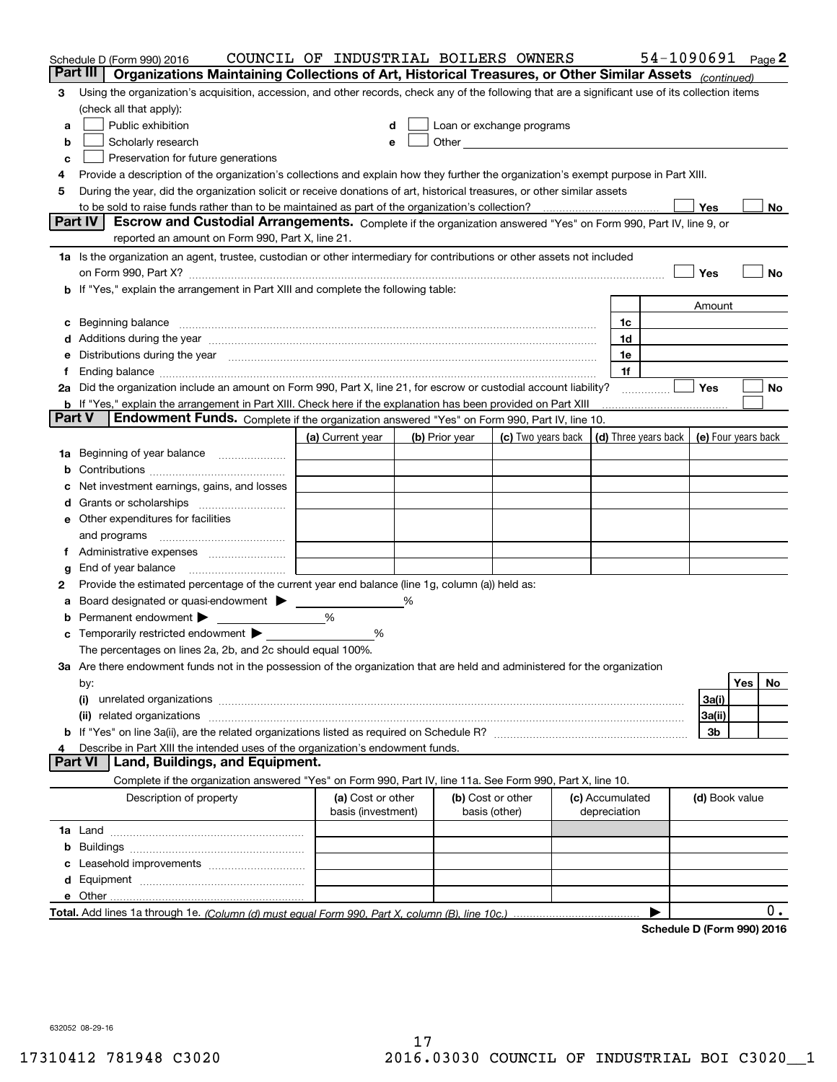|        | Schedule D (Form 990) 2016                                                                                                                                                                                                                                                                                                                           | COUNCIL OF INDUSTRIAL BOILERS OWNERS    |   |                                                                                                               |                    |                                 |          | 54-1090691 $_{Page}$ 2                     |                |     |     |
|--------|------------------------------------------------------------------------------------------------------------------------------------------------------------------------------------------------------------------------------------------------------------------------------------------------------------------------------------------------------|-----------------------------------------|---|---------------------------------------------------------------------------------------------------------------|--------------------|---------------------------------|----------|--------------------------------------------|----------------|-----|-----|
|        | Part III<br>Organizations Maintaining Collections of Art, Historical Treasures, or Other Similar Assets (continued)                                                                                                                                                                                                                                  |                                         |   |                                                                                                               |                    |                                 |          |                                            |                |     |     |
| з      | Using the organization's acquisition, accession, and other records, check any of the following that are a significant use of its collection items                                                                                                                                                                                                    |                                         |   |                                                                                                               |                    |                                 |          |                                            |                |     |     |
|        | (check all that apply):                                                                                                                                                                                                                                                                                                                              |                                         |   |                                                                                                               |                    |                                 |          |                                            |                |     |     |
| a      | Public exhibition                                                                                                                                                                                                                                                                                                                                    |                                         |   | Loan or exchange programs                                                                                     |                    |                                 |          |                                            |                |     |     |
| b      | Scholarly research                                                                                                                                                                                                                                                                                                                                   |                                         |   | Other and the contract of the contract of the contract of the contract of the contract of the contract of the |                    |                                 |          |                                            |                |     |     |
| с      | Preservation for future generations                                                                                                                                                                                                                                                                                                                  |                                         |   |                                                                                                               |                    |                                 |          |                                            |                |     |     |
| 4      | Provide a description of the organization's collections and explain how they further the organization's exempt purpose in Part XIII.                                                                                                                                                                                                                 |                                         |   |                                                                                                               |                    |                                 |          |                                            |                |     |     |
| 5      | During the year, did the organization solicit or receive donations of art, historical treasures, or other similar assets                                                                                                                                                                                                                             |                                         |   |                                                                                                               |                    |                                 |          |                                            |                |     |     |
|        | to be sold to raise funds rather than to be maintained as part of the organization's collection?                                                                                                                                                                                                                                                     |                                         |   |                                                                                                               |                    |                                 |          |                                            | Yes            |     | No  |
|        | <b>Part IV</b><br>Escrow and Custodial Arrangements. Complete if the organization answered "Yes" on Form 990, Part IV, line 9, or                                                                                                                                                                                                                    |                                         |   |                                                                                                               |                    |                                 |          |                                            |                |     |     |
|        | reported an amount on Form 990, Part X, line 21.                                                                                                                                                                                                                                                                                                     |                                         |   |                                                                                                               |                    |                                 |          |                                            |                |     |     |
|        | 1a Is the organization an agent, trustee, custodian or other intermediary for contributions or other assets not included                                                                                                                                                                                                                             |                                         |   |                                                                                                               |                    |                                 |          |                                            |                |     |     |
|        | on Form 990, Part X? [11] matter contracts and contracts and contracts are contracted and contracts are contracted and contract of the set of the set of the set of the set of the set of the set of the set of the set of the                                                                                                                       |                                         |   |                                                                                                               |                    |                                 |          |                                            | Yes            |     | No  |
|        | b If "Yes," explain the arrangement in Part XIII and complete the following table:                                                                                                                                                                                                                                                                   |                                         |   |                                                                                                               |                    |                                 |          |                                            |                |     |     |
|        |                                                                                                                                                                                                                                                                                                                                                      |                                         |   |                                                                                                               |                    |                                 |          |                                            | Amount         |     |     |
| c      |                                                                                                                                                                                                                                                                                                                                                      |                                         |   |                                                                                                               |                    |                                 | 1c       |                                            |                |     |     |
|        | Additions during the year manufactured and an annual contract of the year manufactured and all the year manufactured and all the year manufactured and all the year manufactured and all the year manufactured and all the yea                                                                                                                       |                                         |   |                                                                                                               |                    |                                 | 1d       |                                            |                |     |     |
|        | Distributions during the year manufactured and continuum and continuum and continuum and continuum and continuum                                                                                                                                                                                                                                     |                                         |   |                                                                                                               |                    |                                 | 1e<br>1f |                                            |                |     |     |
| Ť.     | Ending balance manufactured and contact the contract of the contract of the contract of the contract of the contract of the contract of the contract of the contract of the contract of the contract of the contract of the co<br>2a Did the organization include an amount on Form 990, Part X, line 21, for escrow or custodial account liability? |                                         |   |                                                                                                               |                    |                                 |          |                                            | <b>Yes</b>     |     | No  |
|        | <b>b</b> If "Yes," explain the arrangement in Part XIII. Check here if the explanation has been provided on Part XIII                                                                                                                                                                                                                                |                                         |   |                                                                                                               |                    |                                 |          |                                            |                |     |     |
| Part V | Endowment Funds. Complete if the organization answered "Yes" on Form 990, Part IV, line 10.                                                                                                                                                                                                                                                          |                                         |   |                                                                                                               |                    |                                 |          |                                            |                |     |     |
|        |                                                                                                                                                                                                                                                                                                                                                      | (a) Current year                        |   | (b) Prior year                                                                                                | (c) Two years back |                                 |          | (d) Three years back   (e) Four years back |                |     |     |
| 1a     | Beginning of year balance                                                                                                                                                                                                                                                                                                                            |                                         |   |                                                                                                               |                    |                                 |          |                                            |                |     |     |
|        |                                                                                                                                                                                                                                                                                                                                                      |                                         |   |                                                                                                               |                    |                                 |          |                                            |                |     |     |
|        | Net investment earnings, gains, and losses                                                                                                                                                                                                                                                                                                           |                                         |   |                                                                                                               |                    |                                 |          |                                            |                |     |     |
| a      |                                                                                                                                                                                                                                                                                                                                                      |                                         |   |                                                                                                               |                    |                                 |          |                                            |                |     |     |
|        | e Other expenditures for facilities                                                                                                                                                                                                                                                                                                                  |                                         |   |                                                                                                               |                    |                                 |          |                                            |                |     |     |
|        | and programs                                                                                                                                                                                                                                                                                                                                         |                                         |   |                                                                                                               |                    |                                 |          |                                            |                |     |     |
| Ť.     |                                                                                                                                                                                                                                                                                                                                                      |                                         |   |                                                                                                               |                    |                                 |          |                                            |                |     |     |
| g      | End of year balance                                                                                                                                                                                                                                                                                                                                  |                                         |   |                                                                                                               |                    |                                 |          |                                            |                |     |     |
| 2      | Provide the estimated percentage of the current year end balance (line 1g, column (a)) held as:                                                                                                                                                                                                                                                      |                                         |   |                                                                                                               |                    |                                 |          |                                            |                |     |     |
| а      | Board designated or quasi-endowment                                                                                                                                                                                                                                                                                                                  |                                         | % |                                                                                                               |                    |                                 |          |                                            |                |     |     |
|        | Permanent endowment ▶                                                                                                                                                                                                                                                                                                                                | %                                       |   |                                                                                                               |                    |                                 |          |                                            |                |     |     |
|        | Temporarily restricted endowment $\blacktriangleright$                                                                                                                                                                                                                                                                                               | %                                       |   |                                                                                                               |                    |                                 |          |                                            |                |     |     |
|        | The percentages on lines 2a, 2b, and 2c should equal 100%.                                                                                                                                                                                                                                                                                           |                                         |   |                                                                                                               |                    |                                 |          |                                            |                |     |     |
|        | 3a Are there endowment funds not in the possession of the organization that are held and administered for the organization                                                                                                                                                                                                                           |                                         |   |                                                                                                               |                    |                                 |          |                                            |                |     |     |
|        | by:                                                                                                                                                                                                                                                                                                                                                  |                                         |   |                                                                                                               |                    |                                 |          |                                            |                | Yes | No. |
|        | (i)                                                                                                                                                                                                                                                                                                                                                  |                                         |   |                                                                                                               |                    |                                 |          |                                            | 3a(i)          |     |     |
|        |                                                                                                                                                                                                                                                                                                                                                      |                                         |   |                                                                                                               |                    |                                 |          |                                            | 3a(ii)         |     |     |
|        |                                                                                                                                                                                                                                                                                                                                                      |                                         |   |                                                                                                               |                    |                                 |          |                                            | 3b             |     |     |
| 4      | Describe in Part XIII the intended uses of the organization's endowment funds.                                                                                                                                                                                                                                                                       |                                         |   |                                                                                                               |                    |                                 |          |                                            |                |     |     |
|        | Land, Buildings, and Equipment.<br>Part VI                                                                                                                                                                                                                                                                                                           |                                         |   |                                                                                                               |                    |                                 |          |                                            |                |     |     |
|        | Complete if the organization answered "Yes" on Form 990, Part IV, line 11a. See Form 990, Part X, line 10.                                                                                                                                                                                                                                           |                                         |   |                                                                                                               |                    |                                 |          |                                            |                |     |     |
|        | Description of property                                                                                                                                                                                                                                                                                                                              | (a) Cost or other<br>basis (investment) |   | (b) Cost or other<br>basis (other)                                                                            |                    | (c) Accumulated<br>depreciation |          |                                            | (d) Book value |     |     |
|        |                                                                                                                                                                                                                                                                                                                                                      |                                         |   |                                                                                                               |                    |                                 |          |                                            |                |     |     |
| b      |                                                                                                                                                                                                                                                                                                                                                      |                                         |   |                                                                                                               |                    |                                 |          |                                            |                |     |     |
|        |                                                                                                                                                                                                                                                                                                                                                      |                                         |   |                                                                                                               |                    |                                 |          |                                            |                |     |     |
|        |                                                                                                                                                                                                                                                                                                                                                      |                                         |   |                                                                                                               |                    |                                 |          |                                            |                |     |     |
|        |                                                                                                                                                                                                                                                                                                                                                      |                                         |   |                                                                                                               |                    |                                 |          |                                            |                |     |     |
|        |                                                                                                                                                                                                                                                                                                                                                      |                                         |   |                                                                                                               |                    |                                 |          | Cabadule D (Faum 000) 0046                 |                |     | 0.  |

**Schedule D (Form 990) 2016**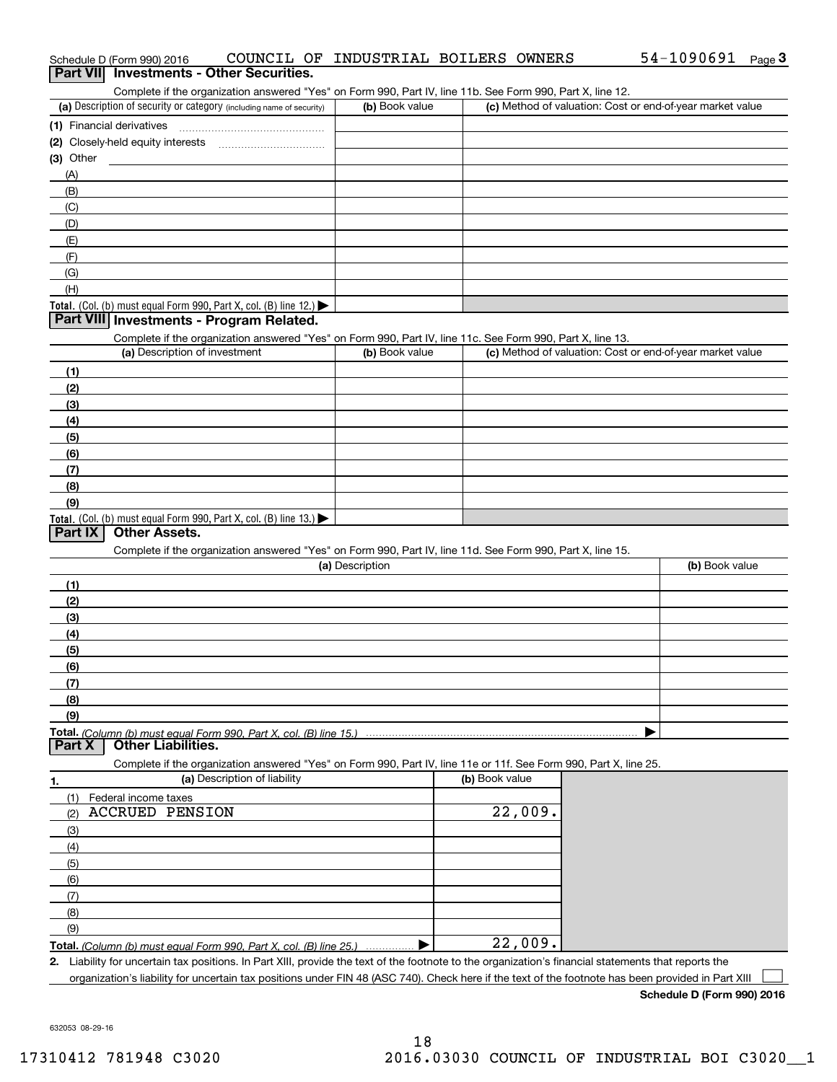|                 |                                                                                                        | 54-1090691<br>$Page$ <sup>3</sup>                                                                                                                                                                                                                                                                                                                                                                                                                                                                                                              |
|-----------------|--------------------------------------------------------------------------------------------------------|------------------------------------------------------------------------------------------------------------------------------------------------------------------------------------------------------------------------------------------------------------------------------------------------------------------------------------------------------------------------------------------------------------------------------------------------------------------------------------------------------------------------------------------------|
|                 |                                                                                                        |                                                                                                                                                                                                                                                                                                                                                                                                                                                                                                                                                |
|                 |                                                                                                        | (c) Method of valuation: Cost or end-of-year market value                                                                                                                                                                                                                                                                                                                                                                                                                                                                                      |
|                 |                                                                                                        |                                                                                                                                                                                                                                                                                                                                                                                                                                                                                                                                                |
|                 |                                                                                                        |                                                                                                                                                                                                                                                                                                                                                                                                                                                                                                                                                |
|                 |                                                                                                        |                                                                                                                                                                                                                                                                                                                                                                                                                                                                                                                                                |
|                 |                                                                                                        |                                                                                                                                                                                                                                                                                                                                                                                                                                                                                                                                                |
|                 |                                                                                                        |                                                                                                                                                                                                                                                                                                                                                                                                                                                                                                                                                |
|                 |                                                                                                        |                                                                                                                                                                                                                                                                                                                                                                                                                                                                                                                                                |
|                 |                                                                                                        |                                                                                                                                                                                                                                                                                                                                                                                                                                                                                                                                                |
|                 |                                                                                                        |                                                                                                                                                                                                                                                                                                                                                                                                                                                                                                                                                |
|                 |                                                                                                        |                                                                                                                                                                                                                                                                                                                                                                                                                                                                                                                                                |
|                 |                                                                                                        |                                                                                                                                                                                                                                                                                                                                                                                                                                                                                                                                                |
|                 |                                                                                                        |                                                                                                                                                                                                                                                                                                                                                                                                                                                                                                                                                |
|                 |                                                                                                        |                                                                                                                                                                                                                                                                                                                                                                                                                                                                                                                                                |
|                 |                                                                                                        |                                                                                                                                                                                                                                                                                                                                                                                                                                                                                                                                                |
|                 |                                                                                                        | (c) Method of valuation: Cost or end-of-year market value                                                                                                                                                                                                                                                                                                                                                                                                                                                                                      |
|                 |                                                                                                        |                                                                                                                                                                                                                                                                                                                                                                                                                                                                                                                                                |
|                 |                                                                                                        |                                                                                                                                                                                                                                                                                                                                                                                                                                                                                                                                                |
|                 |                                                                                                        |                                                                                                                                                                                                                                                                                                                                                                                                                                                                                                                                                |
|                 |                                                                                                        |                                                                                                                                                                                                                                                                                                                                                                                                                                                                                                                                                |
|                 |                                                                                                        |                                                                                                                                                                                                                                                                                                                                                                                                                                                                                                                                                |
|                 |                                                                                                        |                                                                                                                                                                                                                                                                                                                                                                                                                                                                                                                                                |
|                 |                                                                                                        |                                                                                                                                                                                                                                                                                                                                                                                                                                                                                                                                                |
|                 |                                                                                                        |                                                                                                                                                                                                                                                                                                                                                                                                                                                                                                                                                |
|                 |                                                                                                        |                                                                                                                                                                                                                                                                                                                                                                                                                                                                                                                                                |
|                 |                                                                                                        |                                                                                                                                                                                                                                                                                                                                                                                                                                                                                                                                                |
|                 |                                                                                                        |                                                                                                                                                                                                                                                                                                                                                                                                                                                                                                                                                |
| (a) Description |                                                                                                        | (b) Book value                                                                                                                                                                                                                                                                                                                                                                                                                                                                                                                                 |
|                 |                                                                                                        |                                                                                                                                                                                                                                                                                                                                                                                                                                                                                                                                                |
|                 |                                                                                                        |                                                                                                                                                                                                                                                                                                                                                                                                                                                                                                                                                |
|                 |                                                                                                        |                                                                                                                                                                                                                                                                                                                                                                                                                                                                                                                                                |
|                 |                                                                                                        |                                                                                                                                                                                                                                                                                                                                                                                                                                                                                                                                                |
|                 |                                                                                                        |                                                                                                                                                                                                                                                                                                                                                                                                                                                                                                                                                |
|                 |                                                                                                        |                                                                                                                                                                                                                                                                                                                                                                                                                                                                                                                                                |
|                 |                                                                                                        |                                                                                                                                                                                                                                                                                                                                                                                                                                                                                                                                                |
|                 |                                                                                                        |                                                                                                                                                                                                                                                                                                                                                                                                                                                                                                                                                |
|                 |                                                                                                        |                                                                                                                                                                                                                                                                                                                                                                                                                                                                                                                                                |
|                 |                                                                                                        |                                                                                                                                                                                                                                                                                                                                                                                                                                                                                                                                                |
|                 |                                                                                                        |                                                                                                                                                                                                                                                                                                                                                                                                                                                                                                                                                |
|                 |                                                                                                        |                                                                                                                                                                                                                                                                                                                                                                                                                                                                                                                                                |
|                 |                                                                                                        |                                                                                                                                                                                                                                                                                                                                                                                                                                                                                                                                                |
|                 |                                                                                                        |                                                                                                                                                                                                                                                                                                                                                                                                                                                                                                                                                |
|                 |                                                                                                        |                                                                                                                                                                                                                                                                                                                                                                                                                                                                                                                                                |
|                 |                                                                                                        |                                                                                                                                                                                                                                                                                                                                                                                                                                                                                                                                                |
|                 |                                                                                                        |                                                                                                                                                                                                                                                                                                                                                                                                                                                                                                                                                |
|                 |                                                                                                        |                                                                                                                                                                                                                                                                                                                                                                                                                                                                                                                                                |
|                 |                                                                                                        |                                                                                                                                                                                                                                                                                                                                                                                                                                                                                                                                                |
|                 |                                                                                                        |                                                                                                                                                                                                                                                                                                                                                                                                                                                                                                                                                |
|                 |                                                                                                        |                                                                                                                                                                                                                                                                                                                                                                                                                                                                                                                                                |
|                 |                                                                                                        |                                                                                                                                                                                                                                                                                                                                                                                                                                                                                                                                                |
|                 | (b) Book value<br>(b) Book value<br>Total. (Column (b) must equal Form 990. Part X, col. (B) line 15.) | COUNCIL OF INDUSTRIAL BOILERS OWNERS<br>Complete if the organization answered "Yes" on Form 990, Part IV, line 11b. See Form 990, Part X, line 12.<br>Complete if the organization answered "Yes" on Form 990, Part IV, line 11c. See Form 990, Part X, line 13.<br>Complete if the organization answered "Yes" on Form 990, Part IV, line 11d. See Form 990, Part X, line 15.<br>Complete if the organization answered "Yes" on Form 990, Part IV, line 11e or 11f. See Form 990, Part X, line 25.<br>(b) Book value<br>$\overline{2}$ 2,009. |

organization's liability for uncertain tax positions under FIN 48 (ASC 740). Check here if the text of the footnote has been provided in Part XIII

54-1090691 Page 3

632053 08-29-16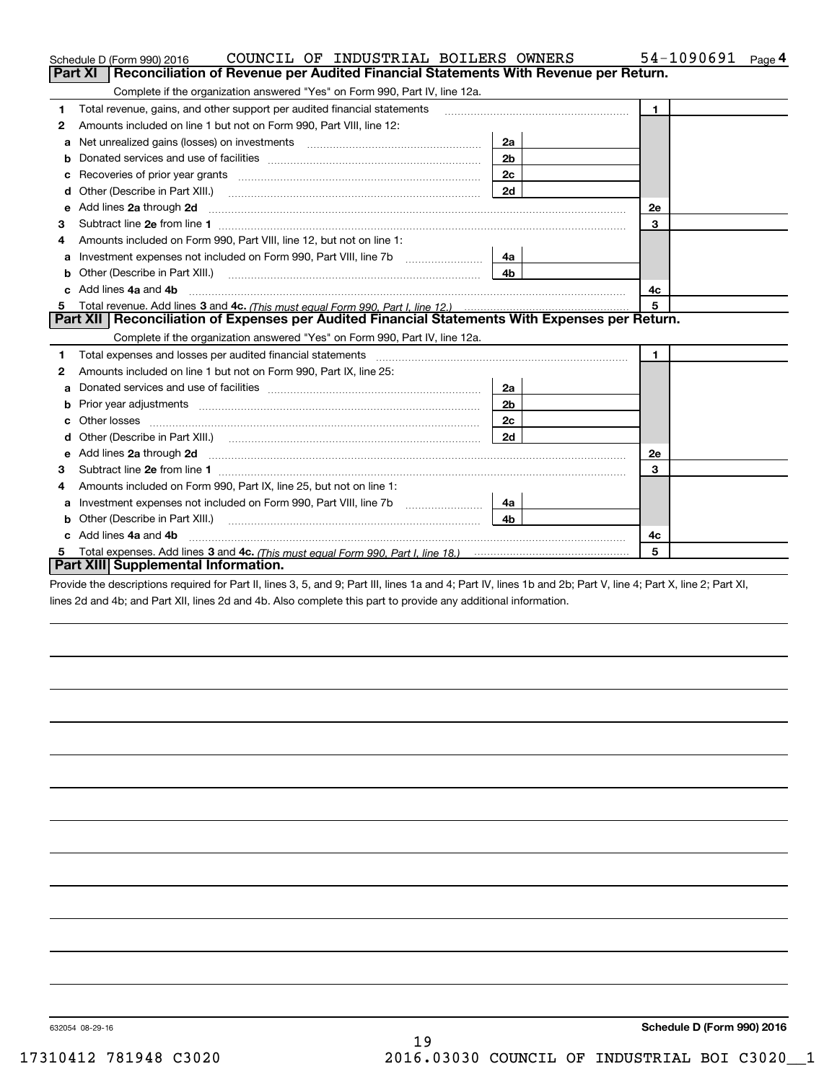|    | COUNCIL OF INDUSTRIAL BOILERS OWNERS<br>Schedule D (Form 990) 2016                                                                                                                                                             |                | 54-1090691<br>Page 4 |
|----|--------------------------------------------------------------------------------------------------------------------------------------------------------------------------------------------------------------------------------|----------------|----------------------|
|    | Reconciliation of Revenue per Audited Financial Statements With Revenue per Return.<br>Part XI                                                                                                                                 |                |                      |
|    | Complete if the organization answered "Yes" on Form 990, Part IV, line 12a.                                                                                                                                                    |                |                      |
| 1  | Total revenue, gains, and other support per audited financial statements                                                                                                                                                       |                | $\mathbf{1}$         |
| 2  | Amounts included on line 1 but not on Form 990, Part VIII, line 12:                                                                                                                                                            |                |                      |
| a  | Net unrealized gains (losses) on investments [11] matter matter and the unrealized matter shows and the unrealized matter successfully and the unrealized matter successfully and the unrealized matter successfully and the u | 2a             |                      |
|    |                                                                                                                                                                                                                                | 2 <sub>b</sub> |                      |
|    | Recoveries of prior year grants [11] matter contracts and prior year grants [11] matter contracts and prior year grants and all the contracts and all the contracts of prior year grants and all the contracts of the contract | 2c             |                      |
| d  | Other (Describe in Part XIII.) <b>Construction Contract Construction</b> (Describe in Part XIII.)                                                                                                                              | 2d             |                      |
| е  | Add lines 2a through 2d                                                                                                                                                                                                        |                | 2e                   |
| 3  |                                                                                                                                                                                                                                |                | 3                    |
| 4  | Amounts included on Form 990, Part VIII, line 12, but not on line 1:                                                                                                                                                           |                |                      |
| a  | Investment expenses not included on Form 990, Part VIII, line 7b [                                                                                                                                                             | 4a             |                      |
| b  |                                                                                                                                                                                                                                | 4 <sub>b</sub> |                      |
| c. | Add lines 4a and 4b                                                                                                                                                                                                            |                | 4c                   |
|    |                                                                                                                                                                                                                                |                | 5                    |
|    | Part XII   Reconciliation of Expenses per Audited Financial Statements With Expenses per Return.                                                                                                                               |                |                      |
|    | Complete if the organization answered "Yes" on Form 990, Part IV, line 12a.                                                                                                                                                    |                |                      |
| 1  |                                                                                                                                                                                                                                |                | $\mathbf{1}$         |
| 2  | Amounts included on line 1 but not on Form 990, Part IX, line 25:                                                                                                                                                              |                |                      |
| a  |                                                                                                                                                                                                                                | 2a             |                      |
| b  |                                                                                                                                                                                                                                | 2 <sub>b</sub> |                      |
| с  |                                                                                                                                                                                                                                | 2c             |                      |
| d  |                                                                                                                                                                                                                                | 2d             |                      |
| е  | Add lines 2a through 2d <b>must be a constructed as the constant of the constant of the constant of the construction</b>                                                                                                       |                | 2e                   |
| 3  |                                                                                                                                                                                                                                |                | 3                    |
| 4  | Amounts included on Form 990, Part IX, line 25, but not on line 1:                                                                                                                                                             |                |                      |
| a  |                                                                                                                                                                                                                                | 4a             |                      |
| b  |                                                                                                                                                                                                                                | 4b             |                      |
|    | Add lines 4a and 4b                                                                                                                                                                                                            |                | 4c                   |
|    |                                                                                                                                                                                                                                |                | 5                    |
|    | Part XIII Supplemental Information.                                                                                                                                                                                            |                |                      |

Provide the descriptions required for Part II, lines 3, 5, and 9; Part III, lines 1a and 4; Part IV, lines 1b and 2b; Part V, line 4; Part X, line 2; Part XI, lines 2d and 4b; and Part XII, lines 2d and 4b. Also complete this part to provide any additional information.

632054 08-29-16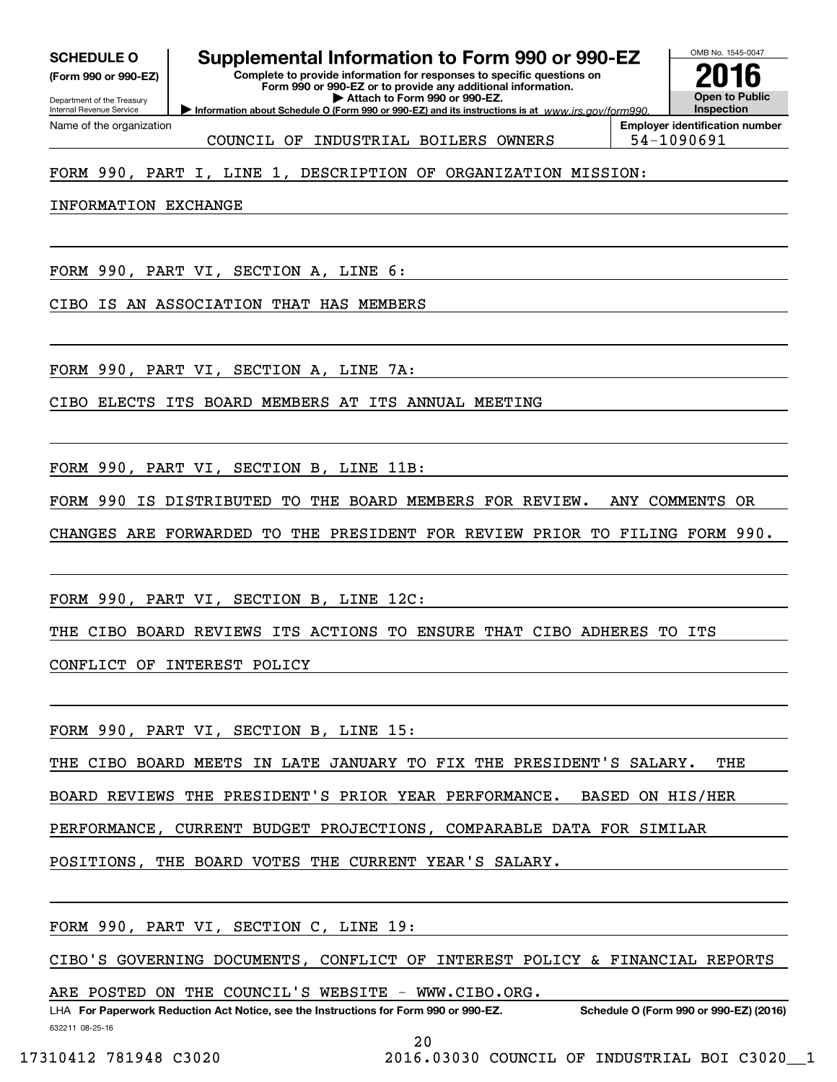**(Form 990 or 990-EZ)**

Department of the Treasury Internal Revenue Service Name of the organization

## **SCHEDULE O Supplemental Information to Form 990 or 990-EZ**

**Complete to provide information for responses to specific questions on Form 990 or 990-EZ or to provide any additional information. | Attach to Form 990 or 990-EZ.**

**Information about Schedule O (Form 990 or 990-EZ) and its instructions is at**  $www.irs.gov/form990.$ 



**Employer identification number**

COUNCIL OF INDUSTRIAL BOILERS OWNERS 54-1090691

# FORM 990, PART I, LINE 1, DESCRIPTION OF ORGANIZATION MISSION:

INFORMATION EXCHANGE

FORM 990, PART VI, SECTION A, LINE 6:

CIBO IS AN ASSOCIATION THAT HAS MEMBERS

FORM 990, PART VI, SECTION A, LINE 7A:

CIBO ELECTS ITS BOARD MEMBERS AT ITS ANNUAL MEETING

FORM 990, PART VI, SECTION B, LINE 11B:

FORM 990 IS DISTRIBUTED TO THE BOARD MEMBERS FOR REVIEW. ANY COMMENTS OR

CHANGES ARE FORWARDED TO THE PRESIDENT FOR REVIEW PRIOR TO FILING FORM 990.

FORM 990, PART VI, SECTION B, LINE 12C:

THE CIBO BOARD REVIEWS ITS ACTIONS TO ENSURE THAT CIBO ADHERES TO ITS

CONFLICT OF INTEREST POLICY

FORM 990, PART VI, SECTION B, LINE 15:

THE CIBO BOARD MEETS IN LATE JANUARY TO FIX THE PRESIDENT'S SALARY. THE

BOARD REVIEWS THE PRESIDENT'S PRIOR YEAR PERFORMANCE. BASED ON HIS/HER

PERFORMANCE, CURRENT BUDGET PROJECTIONS, COMPARABLE DATA FOR SIMILAR

POSITIONS, THE BOARD VOTES THE CURRENT YEAR'S SALARY.

FORM 990, PART VI, SECTION C, LINE 19:

CIBO'S GOVERNING DOCUMENTS, CONFLICT OF INTEREST POLICY & FINANCIAL REPORTS

ARE POSTED ON THE COUNCIL'S WEBSITE - WWW.CIBO.ORG.

632211 08-25-16 LHA For Paperwork Reduction Act Notice, see the Instructions for Form 990 or 990-EZ. Schedule O (Form 990 or 990-EZ) (2016)

20